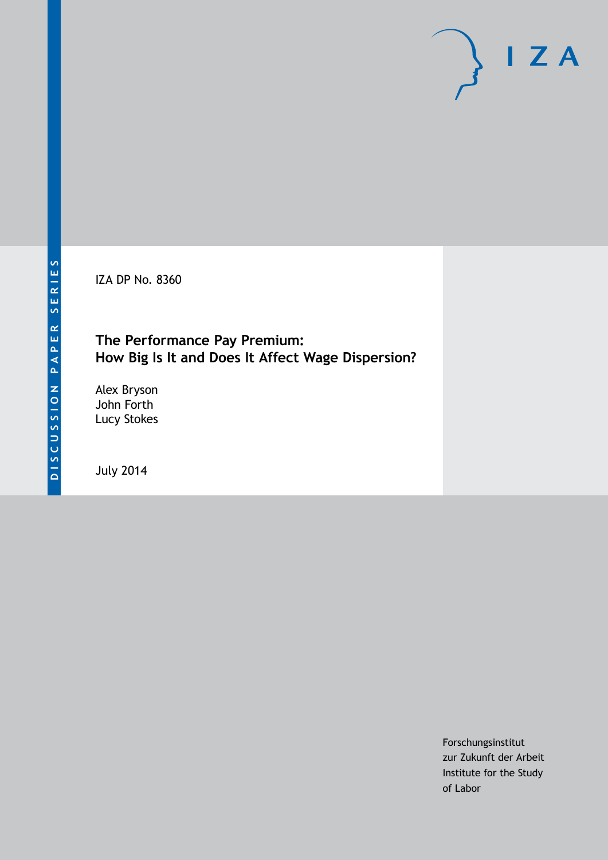IZA DP No. 8360

### **The Performance Pay Premium: How Big Is It and Does It Affect Wage Dispersion?**

Alex Bryson John Forth Lucy Stokes

July 2014

Forschungsinstitut zur Zukunft der Arbeit Institute for the Study of Labor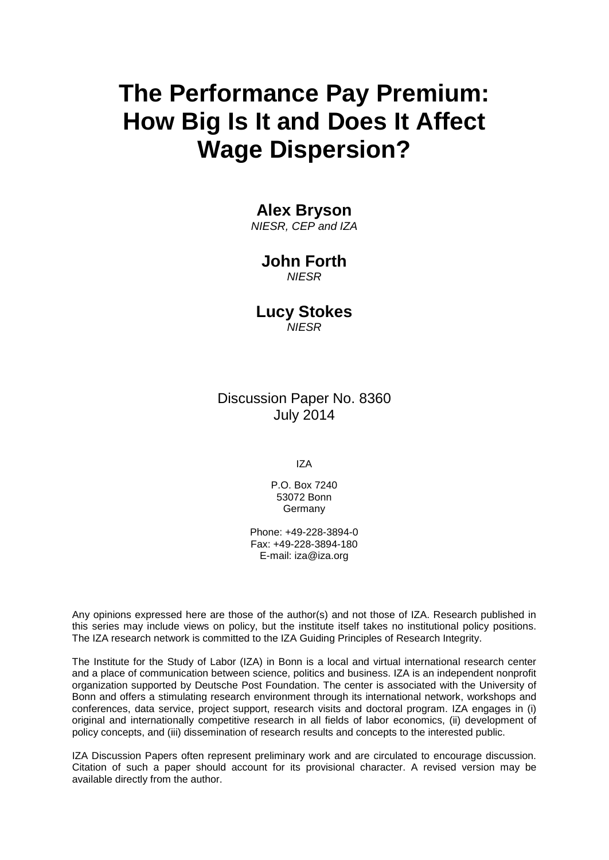# **The Performance Pay Premium: How Big Is It and Does It Affect Wage Dispersion?**

### **Alex Bryson**

*NIESR, CEP and IZA*

### **John Forth**

*NIESR*

### **Lucy Stokes**

*NIESR*

Discussion Paper No. 8360 July 2014

IZA

P.O. Box 7240 53072 Bonn **Germany** 

Phone: +49-228-3894-0 Fax: +49-228-3894-180 E-mail: [iza@iza.org](mailto:iza@iza.org)

Any opinions expressed here are those of the author(s) and not those of IZA. Research published in this series may include views on policy, but the institute itself takes no institutional policy positions. The IZA research network is committed to the IZA Guiding Principles of Research Integrity.

<span id="page-1-0"></span>The Institute for the Study of Labor (IZA) in Bonn is a local and virtual international research center and a place of communication between science, politics and business. IZA is an independent nonprofit organization supported by Deutsche Post Foundation. The center is associated with the University of Bonn and offers a stimulating research environment through its international network, workshops and conferences, data service, project support, research visits and doctoral program. IZA engages in (i) original and internationally competitive research in all fields of labor economics, (ii) development of policy concepts, and (iii) dissemination of research results and concepts to the interested public.

IZA Discussion Papers often represent preliminary work and are circulated to encourage discussion. Citation of such a paper should account for its provisional character. A revised version may be available directly from the author.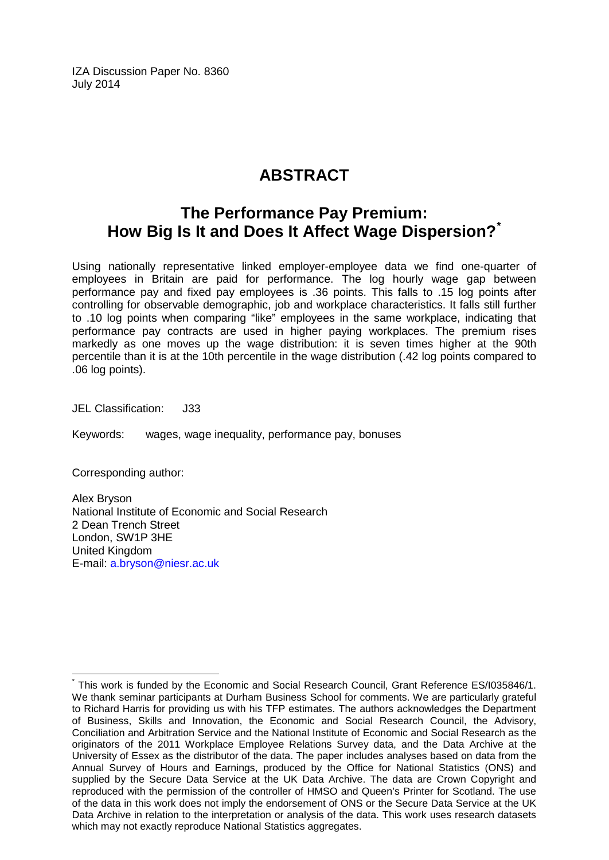IZA Discussion Paper No. 8360 July 2014

### **ABSTRACT**

### **The Performance Pay Premium: How Big Is It and Does It Affect Wage Dispersion?[\\*](#page-1-0)**

Using nationally representative linked employer-employee data we find one-quarter of employees in Britain are paid for performance. The log hourly wage gap between performance pay and fixed pay employees is .36 points. This falls to .15 log points after controlling for observable demographic, job and workplace characteristics. It falls still further to .10 log points when comparing "like" employees in the same workplace, indicating that performance pay contracts are used in higher paying workplaces. The premium rises markedly as one moves up the wage distribution: it is seven times higher at the 90th percentile than it is at the 10th percentile in the wage distribution (.42 log points compared to .06 log points).

JEL Classification: J33

Keywords: wages, wage inequality, performance pay, bonuses

Corresponding author:

Alex Bryson National Institute of Economic and Social Research 2 Dean Trench Street London, SW1P 3HE United Kingdom E-mail: [a.bryson@niesr.ac.uk](mailto:a.bryson@niesr.ac.uk)

This work is funded by the Economic and Social Research Council, Grant Reference ES/I035846/1. We thank seminar participants at Durham Business School for comments. We are particularly grateful to Richard Harris for providing us with his TFP estimates. The authors acknowledges the Department of Business, Skills and Innovation, the Economic and Social Research Council, the Advisory, Conciliation and Arbitration Service and the National Institute of Economic and Social Research as the originators of the 2011 Workplace Employee Relations Survey data, and the Data Archive at the University of Essex as the distributor of the data. The paper includes analyses based on data from the Annual Survey of Hours and Earnings, produced by the Office for National Statistics (ONS) and supplied by the Secure Data Service at the UK Data Archive. The data are Crown Copyright and reproduced with the permission of the controller of HMSO and Queen's Printer for Scotland. The use of the data in this work does not imply the endorsement of ONS or the Secure Data Service at the UK Data Archive in relation to the interpretation or analysis of the data. This work uses research datasets which may not exactly reproduce National Statistics aggregates.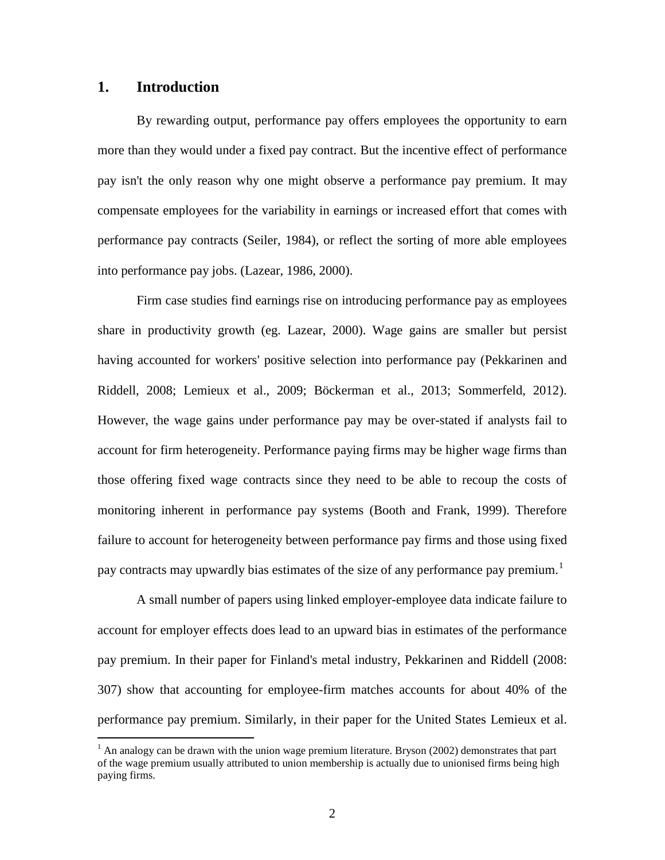### **1. Introduction**

By rewarding output, performance pay offers employees the opportunity to earn more than they would under a fixed pay contract. But the incentive effect of performance pay isn't the only reason why one might observe a performance pay premium. It may compensate employees for the variability in earnings or increased effort that comes with performance pay contracts (Seiler, 1984), or reflect the sorting of more able employees into performance pay jobs. (Lazear, 1986, 2000).

Firm case studies find earnings rise on introducing performance pay as employees share in productivity growth (eg. Lazear, 2000). Wage gains are smaller but persist having accounted for workers' positive selection into performance pay (Pekkarinen and Riddell, 2008; Lemieux et al., 2009; Böckerman et al., 2013; Sommerfeld, 2012). However, the wage gains under performance pay may be over-stated if analysts fail to account for firm heterogeneity. Performance paying firms may be higher wage firms than those offering fixed wage contracts since they need to be able to recoup the costs of monitoring inherent in performance pay systems (Booth and Frank, 1999). Therefore failure to account for heterogeneity between performance pay firms and those using fixed pay contracts may upwardly bias estimates of the size of any performance pay premium.<sup>1</sup>

A small number of papers using linked employer-employee data indicate failure to account for employer effects does lead to an upward bias in estimates of the performance pay premium. In their paper for Finland's metal industry, Pekkarinen and Riddell (2008: 307) show that accounting for employee-firm matches accounts for about 40% of the performance pay premium. Similarly, in their paper for the United States Lemieux et al.

<span id="page-3-0"></span> $1$  An analogy can be drawn with the union wage premium literature. Bryson (2002) demonstrates that part of the wage premium usually attributed to union membership is actually due to unionised firms being high paying firms.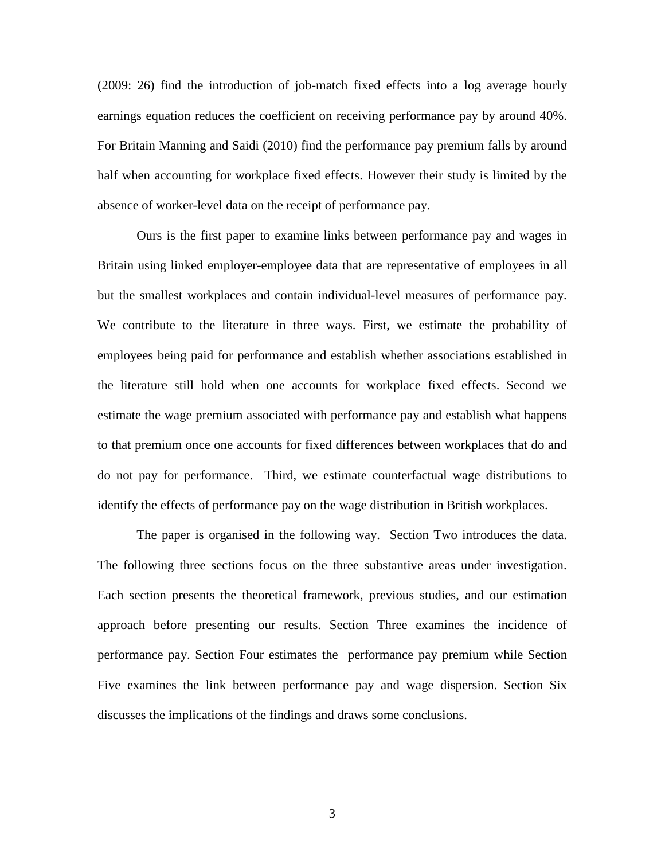(2009: 26) find the introduction of job-match fixed effects into a log average hourly earnings equation reduces the coefficient on receiving performance pay by around 40%. For Britain Manning and Saidi (2010) find the performance pay premium falls by around half when accounting for workplace fixed effects. However their study is limited by the absence of worker-level data on the receipt of performance pay.

Ours is the first paper to examine links between performance pay and wages in Britain using linked employer-employee data that are representative of employees in all but the smallest workplaces and contain individual-level measures of performance pay. We contribute to the literature in three ways. First, we estimate the probability of employees being paid for performance and establish whether associations established in the literature still hold when one accounts for workplace fixed effects. Second we estimate the wage premium associated with performance pay and establish what happens to that premium once one accounts for fixed differences between workplaces that do and do not pay for performance. Third, we estimate counterfactual wage distributions to identify the effects of performance pay on the wage distribution in British workplaces.

The paper is organised in the following way. Section Two introduces the data. The following three sections focus on the three substantive areas under investigation. Each section presents the theoretical framework, previous studies, and our estimation approach before presenting our results. Section Three examines the incidence of performance pay. Section Four estimates the performance pay premium while Section Five examines the link between performance pay and wage dispersion. Section Six discusses the implications of the findings and draws some conclusions.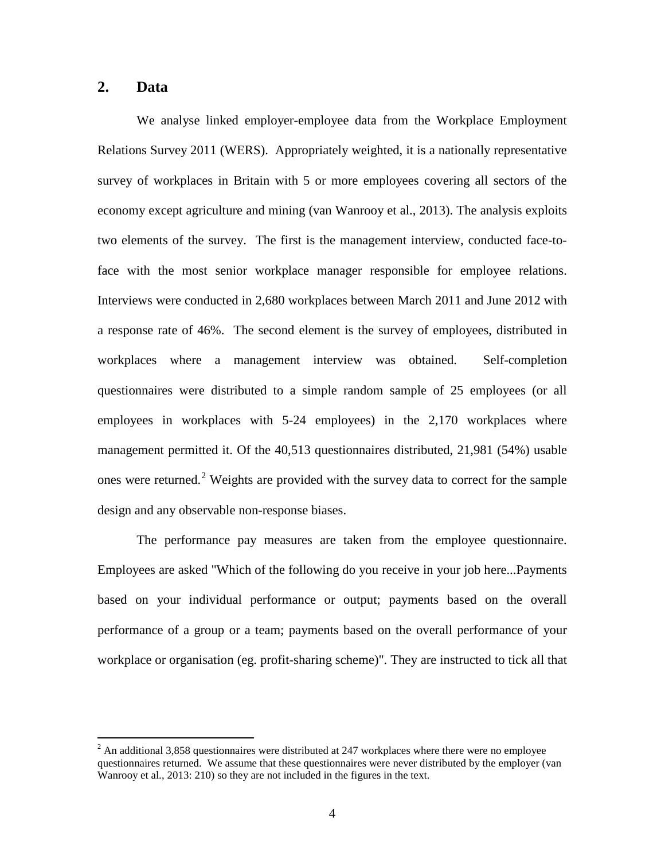### **2. Data**

We analyse linked employer-employee data from the Workplace Employment Relations Survey 2011 (WERS). Appropriately weighted, it is a nationally representative survey of workplaces in Britain with 5 or more employees covering all sectors of the economy except agriculture and mining (van Wanrooy et al., 2013). The analysis exploits two elements of the survey. The first is the management interview, conducted face-toface with the most senior workplace manager responsible for employee relations. Interviews were conducted in 2,680 workplaces between March 2011 and June 2012 with a response rate of 46%. The second element is the survey of employees, distributed in workplaces where a management interview was obtained. Self-completion questionnaires were distributed to a simple random sample of 25 employees (or all employees in workplaces with 5-24 employees) in the 2,170 workplaces where management permitted it. Of the 40,513 questionnaires distributed, 21,981 (54%) usable ones were returned.<sup>[2](#page-3-0)</sup> Weights are provided with the survey data to correct for the sample design and any observable non-response biases.

<span id="page-5-0"></span>The performance pay measures are taken from the employee questionnaire. Employees are asked "Which of the following do you receive in your job here...Payments based on your individual performance or output; payments based on the overall performance of a group or a team; payments based on the overall performance of your workplace or organisation (eg. profit-sharing scheme)". They are instructed to tick all that

 $<sup>2</sup>$  An additional 3,858 questionnaires were distributed at 247 workplaces where there were no employee</sup> questionnaires returned. We assume that these questionnaires were never distributed by the employer (van Wanrooy et al., 2013: 210) so they are not included in the figures in the text.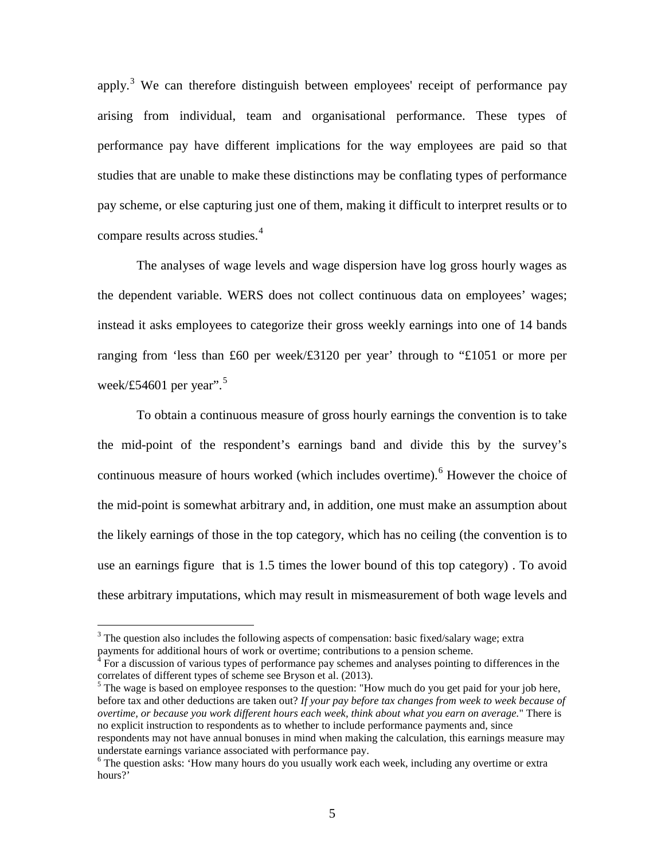apply.<sup>[3](#page-5-0)</sup> We can therefore distinguish between employees' receipt of performance pay arising from individual, team and organisational performance. These types of performance pay have different implications for the way employees are paid so that studies that are unable to make these distinctions may be conflating types of performance pay scheme, or else capturing just one of them, making it difficult to interpret results or to compare results across studies.[4](#page-6-0)

The analyses of wage levels and wage dispersion have log gross hourly wages as the dependent variable. WERS does not collect continuous data on employees' wages; instead it asks employees to categorize their gross weekly earnings into one of 14 bands ranging from 'less than £60 per week/£3120 per year' through to "£1051 or more per week/£[5](#page-6-1)4601 per year".<sup>5</sup>

To obtain a continuous measure of gross hourly earnings the convention is to take the mid-point of the respondent's earnings band and divide this by the survey's continuous measure of hours worked (which includes overtime). [6](#page-6-2) However the choice of the mid-point is somewhat arbitrary and, in addition, one must make an assumption about the likely earnings of those in the top category, which has no ceiling (the convention is to use an earnings figure that is 1.5 times the lower bound of this top category) . To avoid these arbitrary imputations, which may result in mismeasurement of both wage levels and

<sup>&</sup>lt;sup>3</sup> The question also includes the following aspects of compensation: basic fixed/salary wage; extra payments for additional hours of work or overtime; contributions to a pension scheme.

<span id="page-6-0"></span><sup>4</sup> For a discussion of various types of performance pay schemes and analyses pointing to differences in the correlates of different types of scheme see Bryson et al. (2013).

<span id="page-6-3"></span><span id="page-6-1"></span><sup>&</sup>lt;sup>5</sup> The wage is based on employee responses to the question: "How much do you get paid for your job here, before tax and other deductions are taken out? *If your pay before tax changes from week to week because of overtime, or because you work different hours each week, think about what you earn on average.*" There is no explicit instruction to respondents as to whether to include performance payments and, since respondents may not have annual bonuses in mind when making the calculation, this earnings measure may understate earnings variance associated with performance pay.

<span id="page-6-2"></span><sup>&</sup>lt;sup>6</sup> The question asks: 'How many hours do you usually work each week, including any overtime or extra hours?'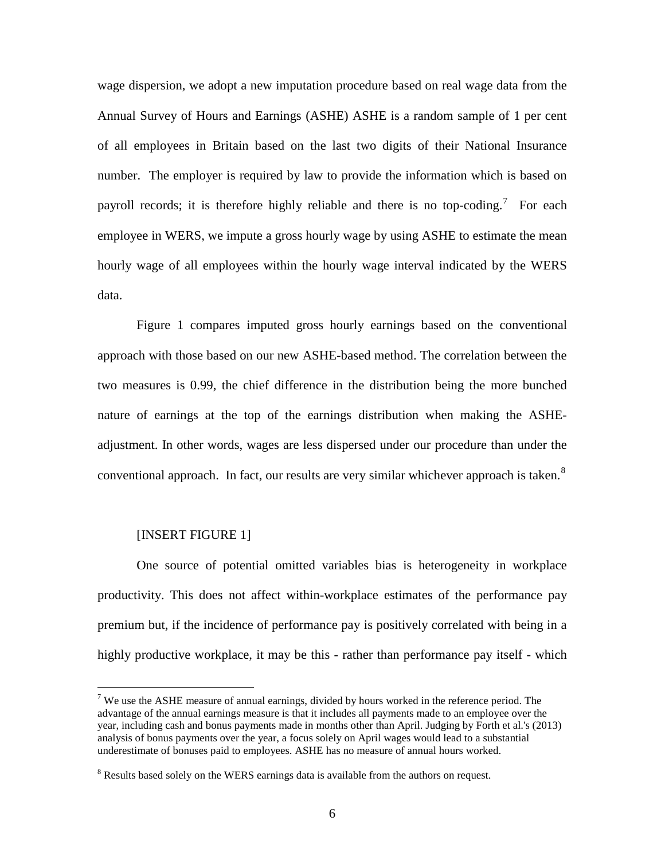wage dispersion, we adopt a new imputation procedure based on real wage data from the Annual Survey of Hours and Earnings (ASHE) ASHE is a random sample of 1 per cent of all employees in Britain based on the last two digits of their National Insurance number. The employer is required by law to provide the information which is based on payroll records; it is therefore highly reliable and there is no top-coding.<sup>[7](#page-6-3)</sup> For each employee in WERS, we impute a gross hourly wage by using ASHE to estimate the mean hourly wage of all employees within the hourly wage interval indicated by the WERS data.

Figure 1 compares imputed gross hourly earnings based on the conventional approach with those based on our new ASHE-based method. The correlation between the two measures is 0.99, the chief difference in the distribution being the more bunched nature of earnings at the top of the earnings distribution when making the ASHEadjustment. In other words, wages are less dispersed under our procedure than under the conventional approach. In fact, our results are very similar whichever approach is taken.<sup>[8](#page-7-0)</sup>

### [INSERT FIGURE 1]

One source of potential omitted variables bias is heterogeneity in workplace productivity. This does not affect within-workplace estimates of the performance pay premium but, if the incidence of performance pay is positively correlated with being in a highly productive workplace, it may be this - rather than performance pay itself - which

<span id="page-7-1"></span> $<sup>7</sup>$  We use the ASHE measure of annual earnings, divided by hours worked in the reference period. The</sup> advantage of the annual earnings measure is that it includes all payments made to an employee over the year, including cash and bonus payments made in months other than April. Judging by Forth et al.'s (2013) analysis of bonus payments over the year, a focus solely on April wages would lead to a substantial underestimate of bonuses paid to employees. ASHE has no measure of annual hours worked.

<span id="page-7-0"></span><sup>&</sup>lt;sup>8</sup> Results based solely on the WERS earnings data is available from the authors on request.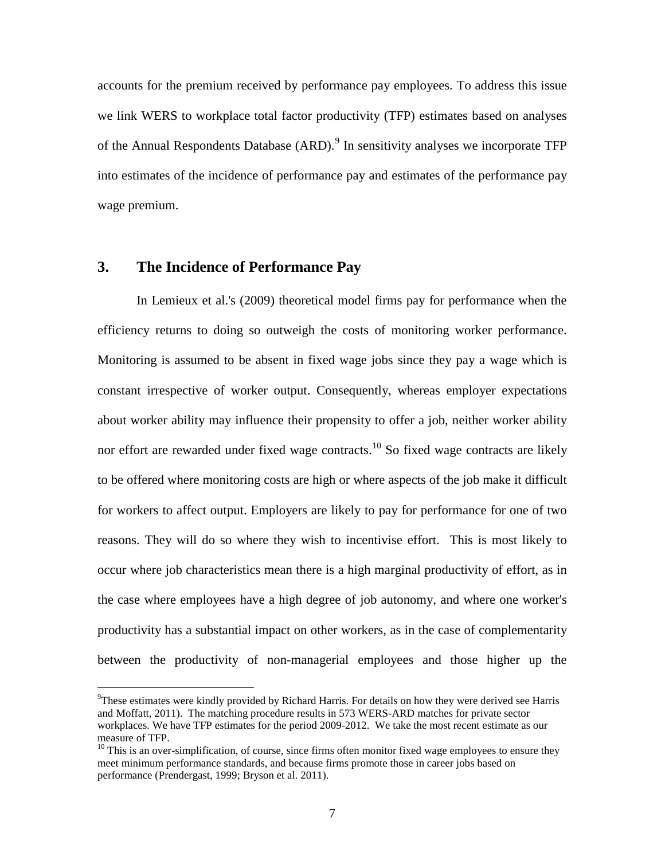accounts for the premium received by performance pay employees. To address this issue we link WERS to workplace total factor productivity (TFP) estimates based on analyses of the Annual Respondents Database  $(ARD)$ <sup>[9](#page-7-1)</sup>. In sensitivity analyses we incorporate TFP into estimates of the incidence of performance pay and estimates of the performance pay wage premium.

### **3. The Incidence of Performance Pay**

In Lemieux et al.'s (2009) theoretical model firms pay for performance when the efficiency returns to doing so outweigh the costs of monitoring worker performance. Monitoring is assumed to be absent in fixed wage jobs since they pay a wage which is constant irrespective of worker output. Consequently, whereas employer expectations about worker ability may influence their propensity to offer a job, neither worker ability nor effort are rewarded under fixed wage contracts.<sup>[10](#page-8-0)</sup> So fixed wage contracts are likely to be offered where monitoring costs are high or where aspects of the job make it difficult for workers to affect output. Employers are likely to pay for performance for one of two reasons. They will do so where they wish to incentivise effort. This is most likely to occur where job characteristics mean there is a high marginal productivity of effort, as in the case where employees have a high degree of job autonomy, and where one worker's productivity has a substantial impact on other workers, as in the case of complementarity between the productivity of non-managerial employees and those higher up the

<sup>&</sup>lt;sup>9</sup>  $\rm{^{9}T}$ hese estimates were kindly provided by Richard Harris. For details on how they were derived see Harris and Moffatt, 2011). The matching procedure results in 573 WERS-ARD matches for private sector workplaces. We have TFP estimates for the period 2009-2012. We take the most recent estimate as our measure of TFP.

<span id="page-8-1"></span><span id="page-8-0"></span> $10$  This is an over-simplification, of course, since firms often monitor fixed wage employees to ensure they meet minimum performance standards, and because firms promote those in career jobs based on performance (Prendergast, 1999; Bryson et al. 2011).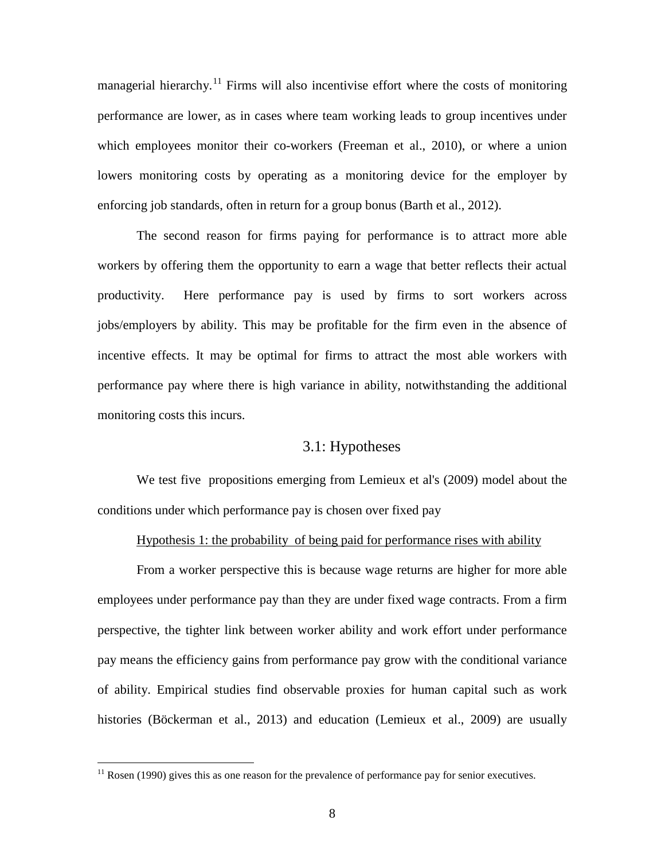managerial hierarchy.<sup>[11](#page-8-1)</sup> Firms will also incentivise effort where the costs of monitoring performance are lower, as in cases where team working leads to group incentives under which employees monitor their co-workers (Freeman et al., 2010), or where a union lowers monitoring costs by operating as a monitoring device for the employer by enforcing job standards, often in return for a group bonus (Barth et al., 2012).

The second reason for firms paying for performance is to attract more able workers by offering them the opportunity to earn a wage that better reflects their actual productivity. Here performance pay is used by firms to sort workers across jobs/employers by ability. This may be profitable for the firm even in the absence of incentive effects. It may be optimal for firms to attract the most able workers with performance pay where there is high variance in ability, notwithstanding the additional monitoring costs this incurs.

### 3.1: Hypotheses

We test five propositions emerging from Lemieux et al's (2009) model about the conditions under which performance pay is chosen over fixed pay

### Hypothesis 1: the probability of being paid for performance rises with ability

From a worker perspective this is because wage returns are higher for more able employees under performance pay than they are under fixed wage contracts. From a firm perspective, the tighter link between worker ability and work effort under performance pay means the efficiency gains from performance pay grow with the conditional variance of ability. Empirical studies find observable proxies for human capital such as work histories (Böckerman et al., 2013) and education (Lemieux et al., 2009) are usually

<span id="page-9-0"></span> $11$  Rosen (1990) gives this as one reason for the prevalence of performance pay for senior executives.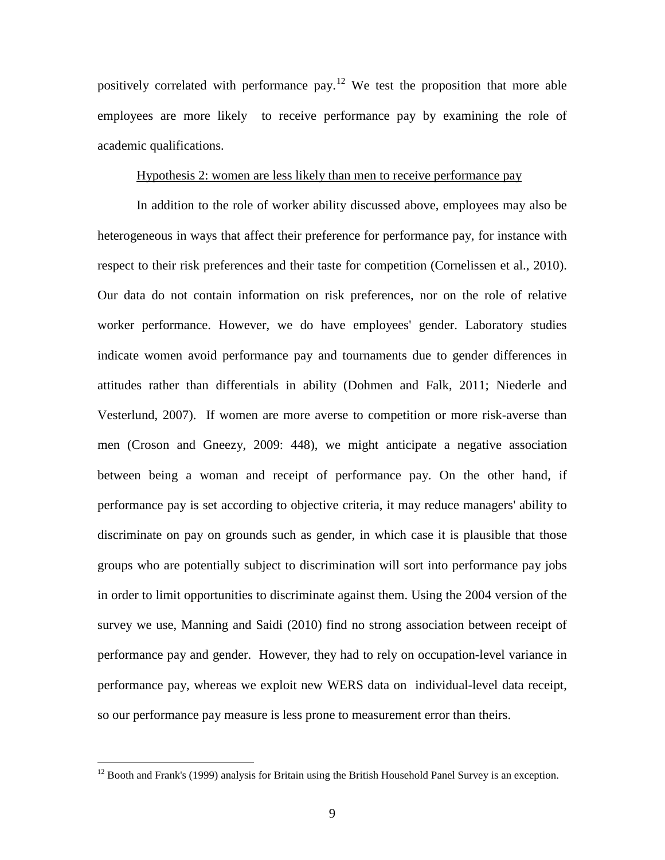positively correlated with performance pay.<sup>[12](#page-9-0)</sup> We test the proposition that more able employees are more likely to receive performance pay by examining the role of academic qualifications.

### Hypothesis 2: women are less likely than men to receive performance pay

In addition to the role of worker ability discussed above, employees may also be heterogeneous in ways that affect their preference for performance pay, for instance with respect to their risk preferences and their taste for competition (Cornelissen et al., 2010). Our data do not contain information on risk preferences, nor on the role of relative worker performance. However, we do have employees' gender. Laboratory studies indicate women avoid performance pay and tournaments due to gender differences in attitudes rather than differentials in ability (Dohmen and Falk, 2011; Niederle and Vesterlund, 2007). If women are more averse to competition or more risk-averse than men (Croson and Gneezy, 2009: 448), we might anticipate a negative association between being a woman and receipt of performance pay. On the other hand, if performance pay is set according to objective criteria, it may reduce managers' ability to discriminate on pay on grounds such as gender, in which case it is plausible that those groups who are potentially subject to discrimination will sort into performance pay jobs in order to limit opportunities to discriminate against them. Using the 2004 version of the survey we use, Manning and Saidi (2010) find no strong association between receipt of performance pay and gender. However, they had to rely on occupation-level variance in performance pay, whereas we exploit new WERS data on individual-level data receipt, so our performance pay measure is less prone to measurement error than theirs.

<span id="page-10-0"></span><sup>&</sup>lt;sup>12</sup> Booth and Frank's (1999) analysis for Britain using the British Household Panel Survey is an exception.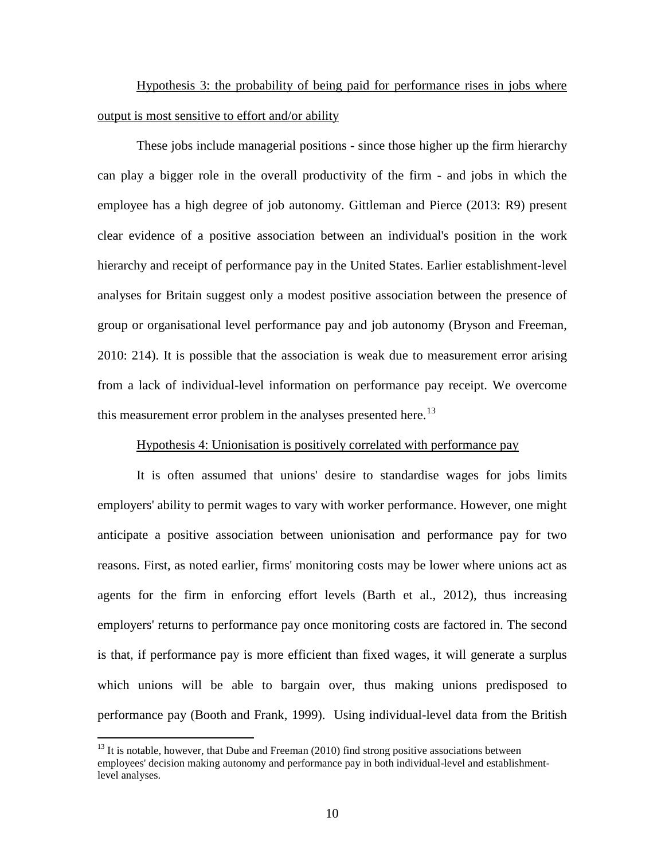Hypothesis 3: the probability of being paid for performance rises in jobs where output is most sensitive to effort and/or ability

These jobs include managerial positions - since those higher up the firm hierarchy can play a bigger role in the overall productivity of the firm - and jobs in which the employee has a high degree of job autonomy. Gittleman and Pierce (2013: R9) present clear evidence of a positive association between an individual's position in the work hierarchy and receipt of performance pay in the United States. Earlier establishment-level analyses for Britain suggest only a modest positive association between the presence of group or organisational level performance pay and job autonomy (Bryson and Freeman, 2010: 214). It is possible that the association is weak due to measurement error arising from a lack of individual-level information on performance pay receipt. We overcome this measurement error problem in the analyses presented here.<sup>[13](#page-10-0)</sup>

### Hypothesis 4: Unionisation is positively correlated with performance pay

It is often assumed that unions' desire to standardise wages for jobs limits employers' ability to permit wages to vary with worker performance. However, one might anticipate a positive association between unionisation and performance pay for two reasons. First, as noted earlier, firms' monitoring costs may be lower where unions act as agents for the firm in enforcing effort levels (Barth et al., 2012), thus increasing employers' returns to performance pay once monitoring costs are factored in. The second is that, if performance pay is more efficient than fixed wages, it will generate a surplus which unions will be able to bargain over, thus making unions predisposed to performance pay (Booth and Frank, 1999). Using individual-level data from the British

<span id="page-11-0"></span> $13$  It is notable, however, that Dube and Freeman (2010) find strong positive associations between employees' decision making autonomy and performance pay in both individual-level and establishmentlevel analyses.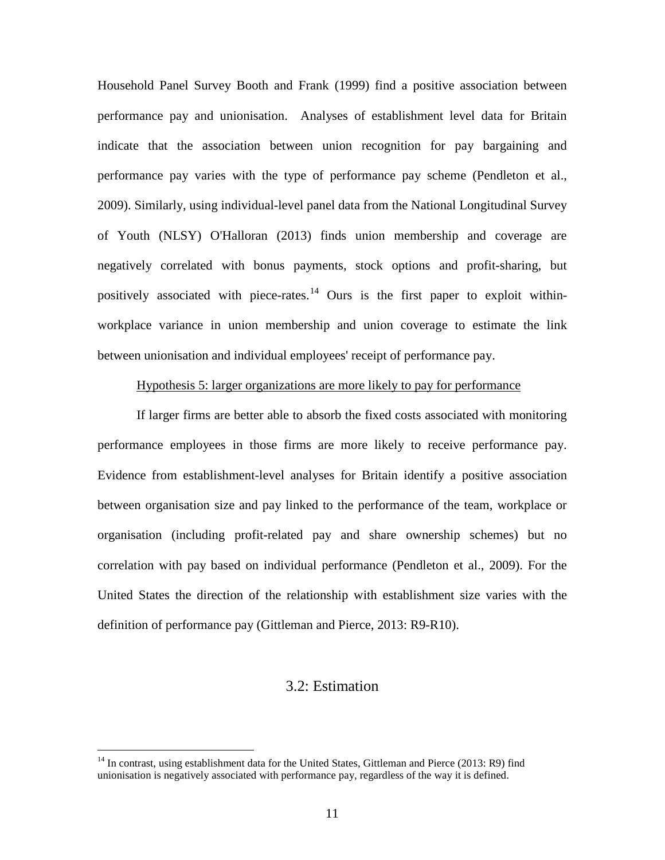Household Panel Survey Booth and Frank (1999) find a positive association between performance pay and unionisation. Analyses of establishment level data for Britain indicate that the association between union recognition for pay bargaining and performance pay varies with the type of performance pay scheme (Pendleton et al., 2009). Similarly, using individual-level panel data from the National Longitudinal Survey of Youth (NLSY) O'Halloran (2013) finds union membership and coverage are negatively correlated with bonus payments, stock options and profit-sharing, but positively associated with piece-rates.<sup>[14](#page-11-0)</sup> Ours is the first paper to exploit withinworkplace variance in union membership and union coverage to estimate the link between unionisation and individual employees' receipt of performance pay.

### Hypothesis 5: larger organizations are more likely to pay for performance

If larger firms are better able to absorb the fixed costs associated with monitoring performance employees in those firms are more likely to receive performance pay. Evidence from establishment-level analyses for Britain identify a positive association between organisation size and pay linked to the performance of the team, workplace or organisation (including profit-related pay and share ownership schemes) but no correlation with pay based on individual performance (Pendleton et al., 2009). For the United States the direction of the relationship with establishment size varies with the definition of performance pay (Gittleman and Pierce, 2013: R9-R10).

### 3.2: Estimation

<span id="page-12-0"></span><sup>&</sup>lt;sup>14</sup> In contrast, using establishment data for the United States, Gittleman and Pierce (2013: R9) find unionisation is negatively associated with performance pay, regardless of the way it is defined.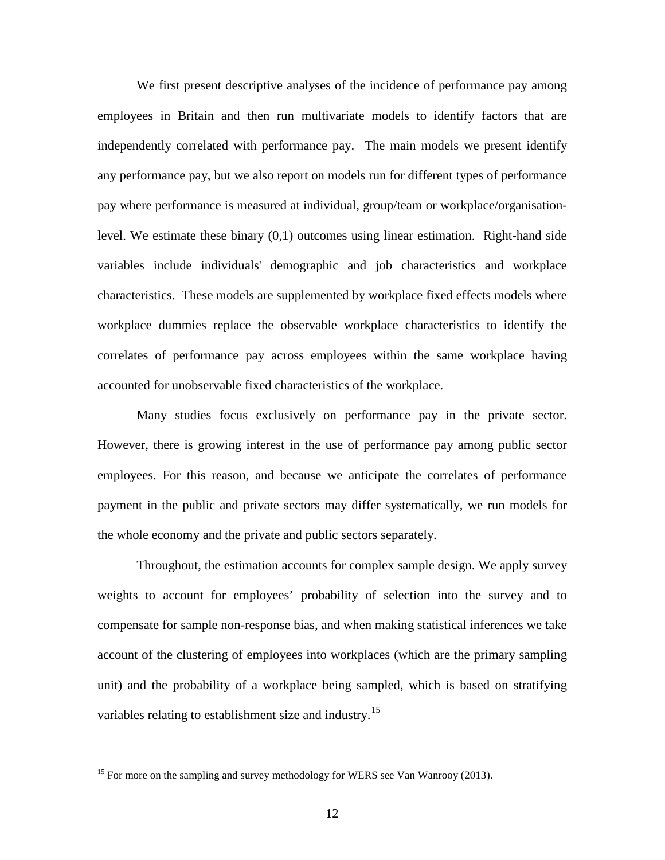We first present descriptive analyses of the incidence of performance pay among employees in Britain and then run multivariate models to identify factors that are independently correlated with performance pay. The main models we present identify any performance pay, but we also report on models run for different types of performance pay where performance is measured at individual, group/team or workplace/organisationlevel. We estimate these binary (0,1) outcomes using linear estimation. Right-hand side variables include individuals' demographic and job characteristics and workplace characteristics. These models are supplemented by workplace fixed effects models where workplace dummies replace the observable workplace characteristics to identify the correlates of performance pay across employees within the same workplace having accounted for unobservable fixed characteristics of the workplace.

Many studies focus exclusively on performance pay in the private sector. However, there is growing interest in the use of performance pay among public sector employees. For this reason, and because we anticipate the correlates of performance payment in the public and private sectors may differ systematically, we run models for the whole economy and the private and public sectors separately.

Throughout, the estimation accounts for complex sample design. We apply survey weights to account for employees' probability of selection into the survey and to compensate for sample non-response bias, and when making statistical inferences we take account of the clustering of employees into workplaces (which are the primary sampling unit) and the probability of a workplace being sampled, which is based on stratifying variables relating to establishment size and industry.<sup>[15](#page-12-0)</sup>

<span id="page-13-0"></span><sup>&</sup>lt;sup>15</sup> For more on the sampling and survey methodology for WERS see Van Wanrooy (2013).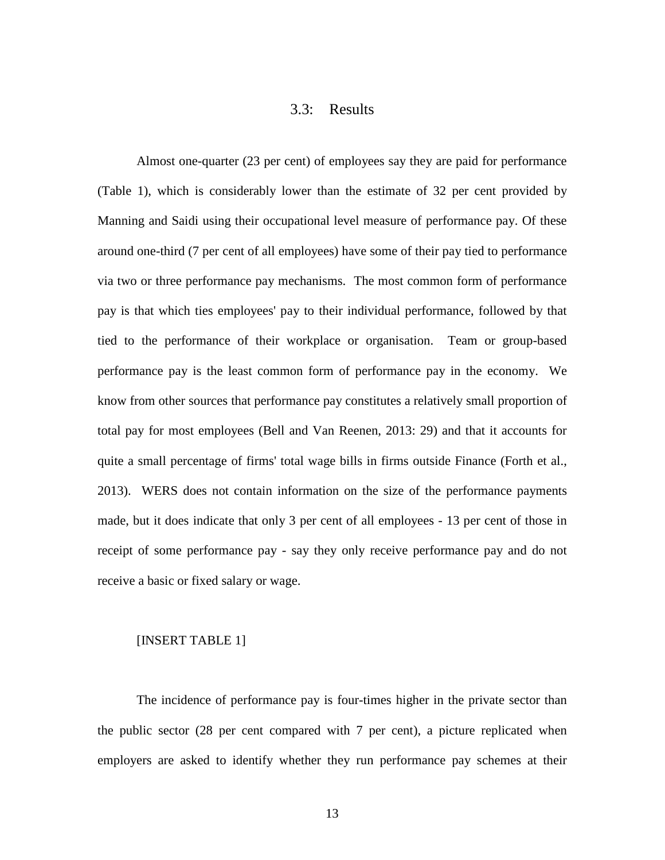### 3.3: Results

Almost one-quarter (23 per cent) of employees say they are paid for performance (Table 1), which is considerably lower than the estimate of 32 per cent provided by Manning and Saidi using their occupational level measure of performance pay. Of these around one-third (7 per cent of all employees) have some of their pay tied to performance via two or three performance pay mechanisms. The most common form of performance pay is that which ties employees' pay to their individual performance, followed by that tied to the performance of their workplace or organisation. Team or group-based performance pay is the least common form of performance pay in the economy. We know from other sources that performance pay constitutes a relatively small proportion of total pay for most employees (Bell and Van Reenen, 2013: 29) and that it accounts for quite a small percentage of firms' total wage bills in firms outside Finance (Forth et al., 2013). WERS does not contain information on the size of the performance payments made, but it does indicate that only 3 per cent of all employees - 13 per cent of those in receipt of some performance pay - say they only receive performance pay and do not receive a basic or fixed salary or wage.

### [INSERT TABLE 1]

The incidence of performance pay is four-times higher in the private sector than the public sector (28 per cent compared with 7 per cent), a picture replicated when employers are asked to identify whether they run performance pay schemes at their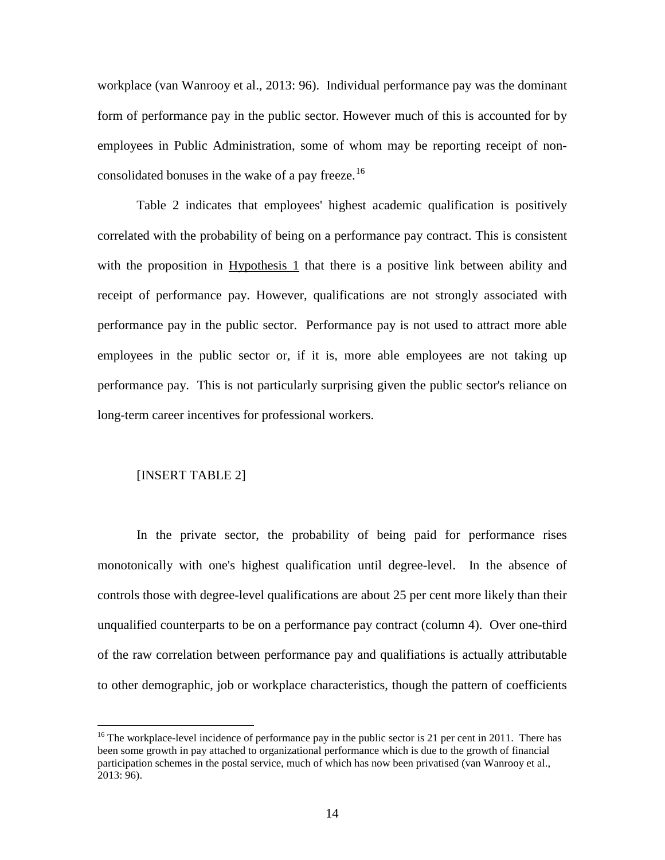workplace (van Wanrooy et al., 2013: 96). Individual performance pay was the dominant form of performance pay in the public sector. However much of this is accounted for by employees in Public Administration, some of whom may be reporting receipt of non-consolidated bonuses in the wake of a pay freeze.<sup>[16](#page-13-0)</sup>

Table 2 indicates that employees' highest academic qualification is positively correlated with the probability of being on a performance pay contract. This is consistent with the proposition in Hypothesis 1 that there is a positive link between ability and receipt of performance pay. However, qualifications are not strongly associated with performance pay in the public sector. Performance pay is not used to attract more able employees in the public sector or, if it is, more able employees are not taking up performance pay. This is not particularly surprising given the public sector's reliance on long-term career incentives for professional workers.

### [INSERT TABLE 2]

In the private sector, the probability of being paid for performance rises monotonically with one's highest qualification until degree-level. In the absence of controls those with degree-level qualifications are about 25 per cent more likely than their unqualified counterparts to be on a performance pay contract (column 4). Over one-third of the raw correlation between performance pay and qualifiations is actually attributable to other demographic, job or workplace characteristics, though the pattern of coefficients

<span id="page-15-0"></span><sup>&</sup>lt;sup>16</sup> The workplace-level incidence of performance pay in the public sector is 21 per cent in 2011. There has been some growth in pay attached to organizational performance which is due to the growth of financial participation schemes in the postal service, much of which has now been privatised (van Wanrooy et al., 2013: 96).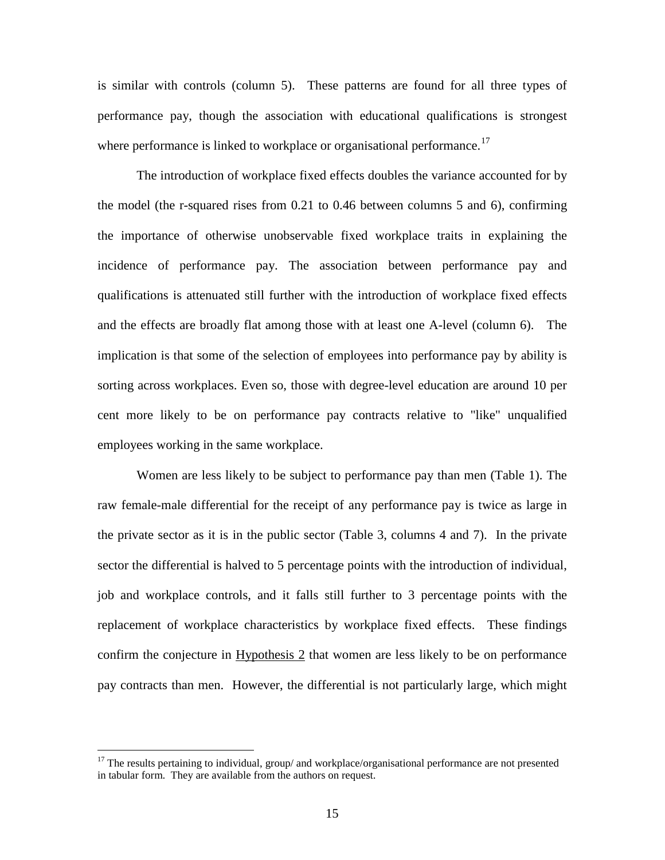is similar with controls (column 5). These patterns are found for all three types of performance pay, though the association with educational qualifications is strongest where performance is linked to workplace or organisational performance.<sup>[17](#page-15-0)</sup>

The introduction of workplace fixed effects doubles the variance accounted for by the model (the r-squared rises from 0.21 to 0.46 between columns 5 and 6), confirming the importance of otherwise unobservable fixed workplace traits in explaining the incidence of performance pay. The association between performance pay and qualifications is attenuated still further with the introduction of workplace fixed effects and the effects are broadly flat among those with at least one A-level (column 6). The implication is that some of the selection of employees into performance pay by ability is sorting across workplaces. Even so, those with degree-level education are around 10 per cent more likely to be on performance pay contracts relative to "like" unqualified employees working in the same workplace.

Women are less likely to be subject to performance pay than men (Table 1). The raw female-male differential for the receipt of any performance pay is twice as large in the private sector as it is in the public sector (Table 3, columns 4 and 7). In the private sector the differential is halved to 5 percentage points with the introduction of individual, job and workplace controls, and it falls still further to 3 percentage points with the replacement of workplace characteristics by workplace fixed effects. These findings confirm the conjecture in Hypothesis 2 that women are less likely to be on performance pay contracts than men. However, the differential is not particularly large, which might

<span id="page-16-0"></span> $17$  The results pertaining to individual, group/ and workplace/organisational performance are not presented in tabular form. They are available from the authors on request.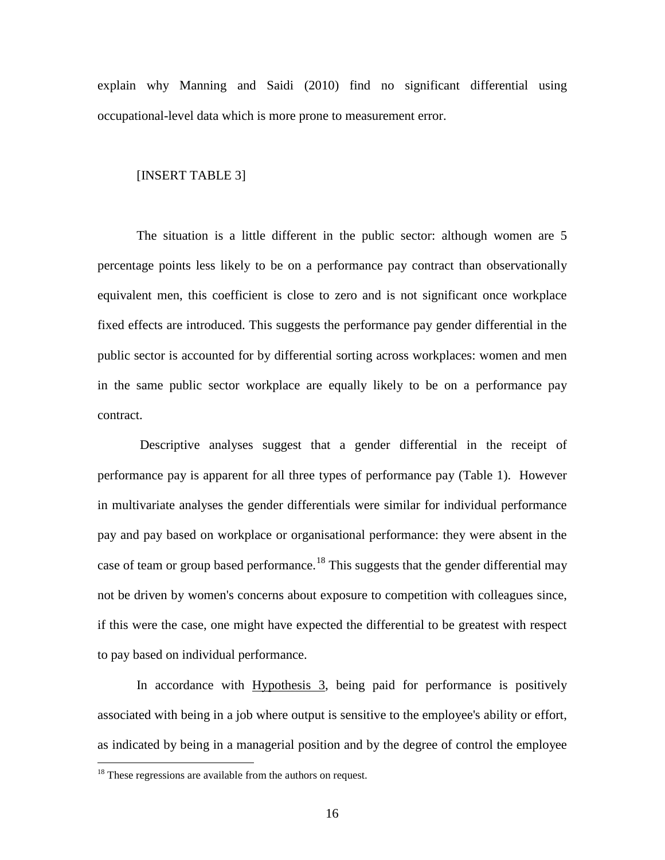explain why Manning and Saidi (2010) find no significant differential using occupational-level data which is more prone to measurement error.

### [INSERT TABLE 3]

The situation is a little different in the public sector: although women are 5 percentage points less likely to be on a performance pay contract than observationally equivalent men, this coefficient is close to zero and is not significant once workplace fixed effects are introduced. This suggests the performance pay gender differential in the public sector is accounted for by differential sorting across workplaces: women and men in the same public sector workplace are equally likely to be on a performance pay contract.

Descriptive analyses suggest that a gender differential in the receipt of performance pay is apparent for all three types of performance pay (Table 1). However in multivariate analyses the gender differentials were similar for individual performance pay and pay based on workplace or organisational performance: they were absent in the case of team or group based performance.<sup>[18](#page-16-0)</sup> This suggests that the gender differential may not be driven by women's concerns about exposure to competition with colleagues since, if this were the case, one might have expected the differential to be greatest with respect to pay based on individual performance.

In accordance with Hypothesis 3, being paid for performance is positively associated with being in a job where output is sensitive to the employee's ability or effort, as indicated by being in a managerial position and by the degree of control the employee

<span id="page-17-0"></span><sup>&</sup>lt;sup>18</sup> These regressions are available from the authors on request.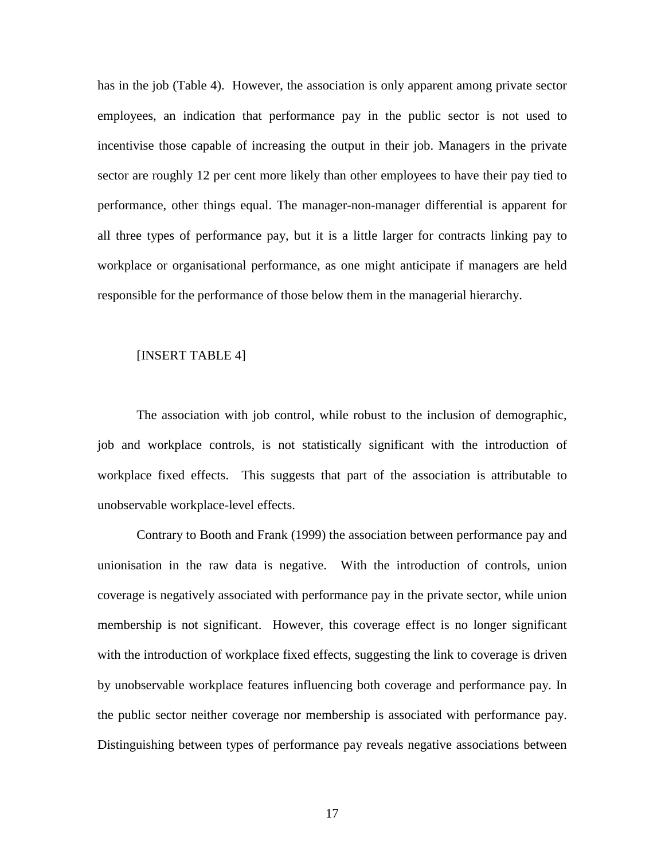has in the job (Table 4). However, the association is only apparent among private sector employees, an indication that performance pay in the public sector is not used to incentivise those capable of increasing the output in their job. Managers in the private sector are roughly 12 per cent more likely than other employees to have their pay tied to performance, other things equal. The manager-non-manager differential is apparent for all three types of performance pay, but it is a little larger for contracts linking pay to workplace or organisational performance, as one might anticipate if managers are held responsible for the performance of those below them in the managerial hierarchy.

### [INSERT TABLE 4]

The association with job control, while robust to the inclusion of demographic, job and workplace controls, is not statistically significant with the introduction of workplace fixed effects. This suggests that part of the association is attributable to unobservable workplace-level effects.

Contrary to Booth and Frank (1999) the association between performance pay and unionisation in the raw data is negative. With the introduction of controls, union coverage is negatively associated with performance pay in the private sector, while union membership is not significant. However, this coverage effect is no longer significant with the introduction of workplace fixed effects, suggesting the link to coverage is driven by unobservable workplace features influencing both coverage and performance pay. In the public sector neither coverage nor membership is associated with performance pay. Distinguishing between types of performance pay reveals negative associations between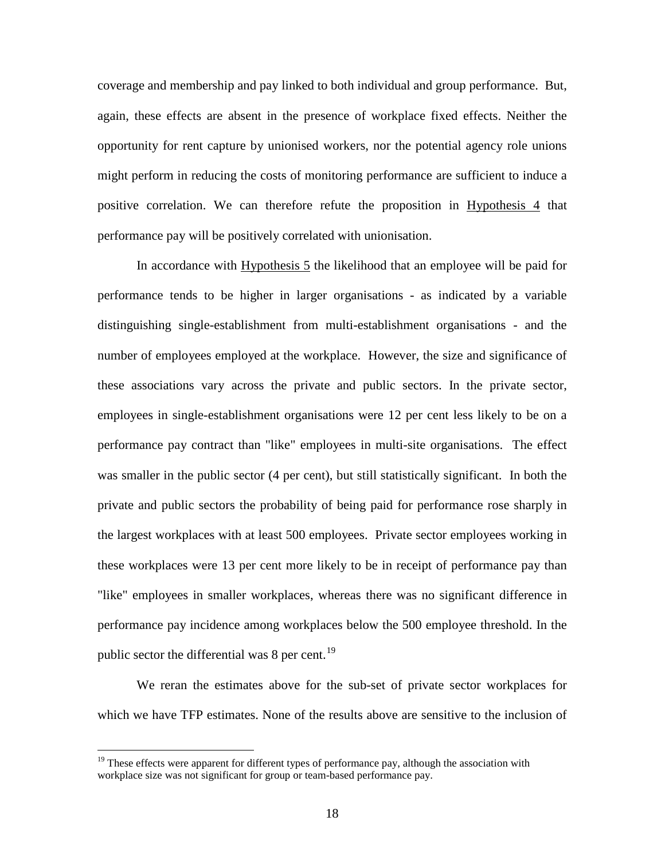coverage and membership and pay linked to both individual and group performance. But, again, these effects are absent in the presence of workplace fixed effects. Neither the opportunity for rent capture by unionised workers, nor the potential agency role unions might perform in reducing the costs of monitoring performance are sufficient to induce a positive correlation. We can therefore refute the proposition in Hypothesis 4 that performance pay will be positively correlated with unionisation.

In accordance with Hypothesis 5 the likelihood that an employee will be paid for performance tends to be higher in larger organisations - as indicated by a variable distinguishing single-establishment from multi-establishment organisations - and the number of employees employed at the workplace. However, the size and significance of these associations vary across the private and public sectors. In the private sector, employees in single-establishment organisations were 12 per cent less likely to be on a performance pay contract than "like" employees in multi-site organisations. The effect was smaller in the public sector (4 per cent), but still statistically significant. In both the private and public sectors the probability of being paid for performance rose sharply in the largest workplaces with at least 500 employees. Private sector employees working in these workplaces were 13 per cent more likely to be in receipt of performance pay than "like" employees in smaller workplaces, whereas there was no significant difference in performance pay incidence among workplaces below the 500 employee threshold. In the public sector the differential was  $8$  per cent.<sup>[19](#page-17-0)</sup>

We reran the estimates above for the sub-set of private sector workplaces for which we have TFP estimates. None of the results above are sensitive to the inclusion of

<span id="page-19-0"></span> $19$  These effects were apparent for different types of performance pay, although the association with workplace size was not significant for group or team-based performance pay.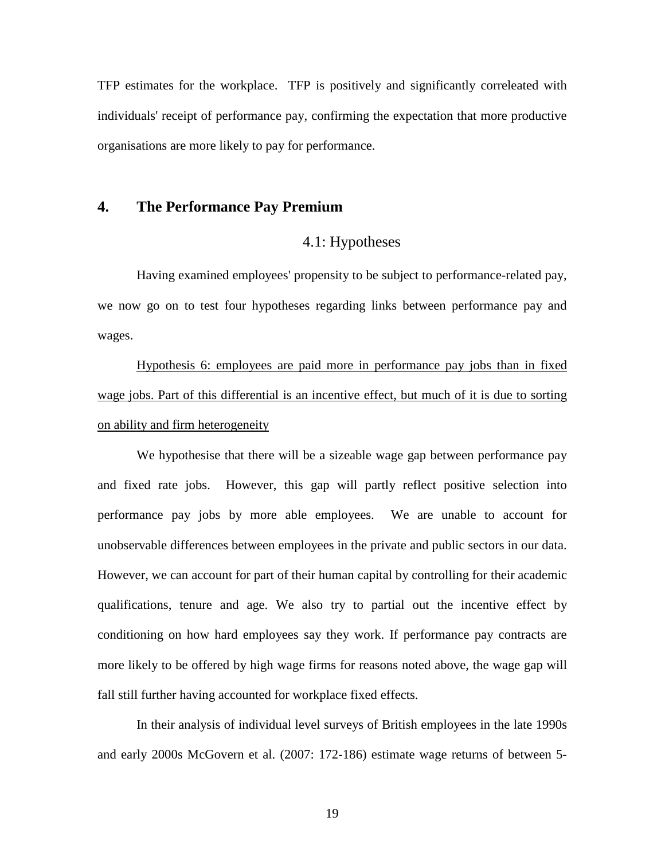TFP estimates for the workplace. TFP is positively and significantly correleated with individuals' receipt of performance pay, confirming the expectation that more productive organisations are more likely to pay for performance.

### **4. The Performance Pay Premium**

### 4.1: Hypotheses

Having examined employees' propensity to be subject to performance-related pay, we now go on to test four hypotheses regarding links between performance pay and wages.

Hypothesis 6: employees are paid more in performance pay jobs than in fixed wage jobs. Part of this differential is an incentive effect, but much of it is due to sorting on ability and firm heterogeneity

We hypothesise that there will be a sizeable wage gap between performance pay and fixed rate jobs. However, this gap will partly reflect positive selection into performance pay jobs by more able employees. We are unable to account for unobservable differences between employees in the private and public sectors in our data. However, we can account for part of their human capital by controlling for their academic qualifications, tenure and age. We also try to partial out the incentive effect by conditioning on how hard employees say they work. If performance pay contracts are more likely to be offered by high wage firms for reasons noted above, the wage gap will fall still further having accounted for workplace fixed effects.

In their analysis of individual level surveys of British employees in the late 1990s and early 2000s McGovern et al. (2007: 172-186) estimate wage returns of between 5-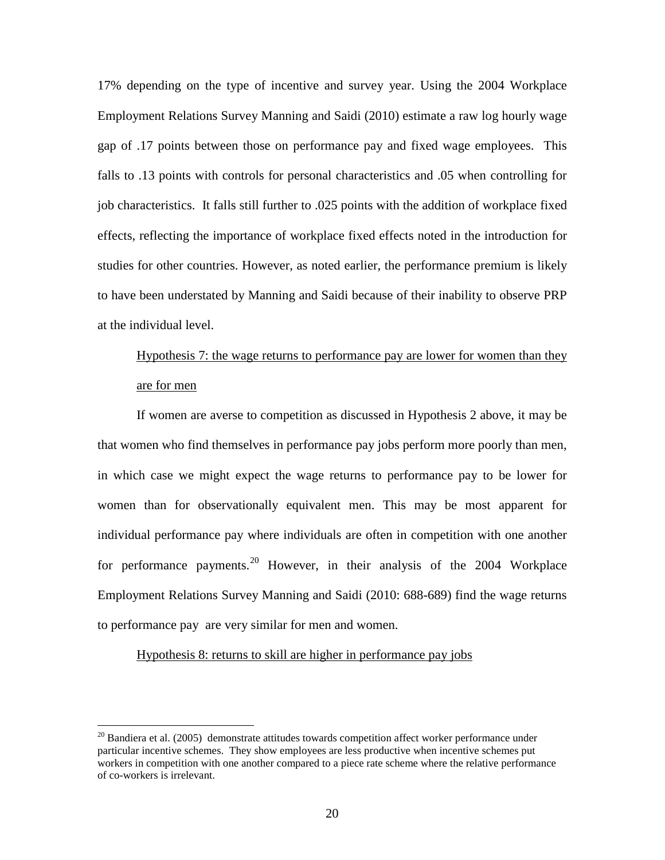17% depending on the type of incentive and survey year. Using the 2004 Workplace Employment Relations Survey Manning and Saidi (2010) estimate a raw log hourly wage gap of .17 points between those on performance pay and fixed wage employees. This falls to .13 points with controls for personal characteristics and .05 when controlling for job characteristics. It falls still further to .025 points with the addition of workplace fixed effects, reflecting the importance of workplace fixed effects noted in the introduction for studies for other countries. However, as noted earlier, the performance premium is likely to have been understated by Manning and Saidi because of their inability to observe PRP at the individual level.

## Hypothesis 7: the wage returns to performance pay are lower for women than they are for men

If women are averse to competition as discussed in Hypothesis 2 above, it may be that women who find themselves in performance pay jobs perform more poorly than men, in which case we might expect the wage returns to performance pay to be lower for women than for observationally equivalent men. This may be most apparent for individual performance pay where individuals are often in competition with one another for performance payments.<sup>[20](#page-19-0)</sup> However, in their analysis of the 2004 Workplace Employment Relations Survey Manning and Saidi (2010: 688-689) find the wage returns to performance pay are very similar for men and women.

### Hypothesis 8: returns to skill are higher in performance pay jobs

<span id="page-21-0"></span> $20$  Bandiera et al. (2005) demonstrate attitudes towards competition affect worker performance under particular incentive schemes. They show employees are less productive when incentive schemes put workers in competition with one another compared to a piece rate scheme where the relative performance of co-workers is irrelevant.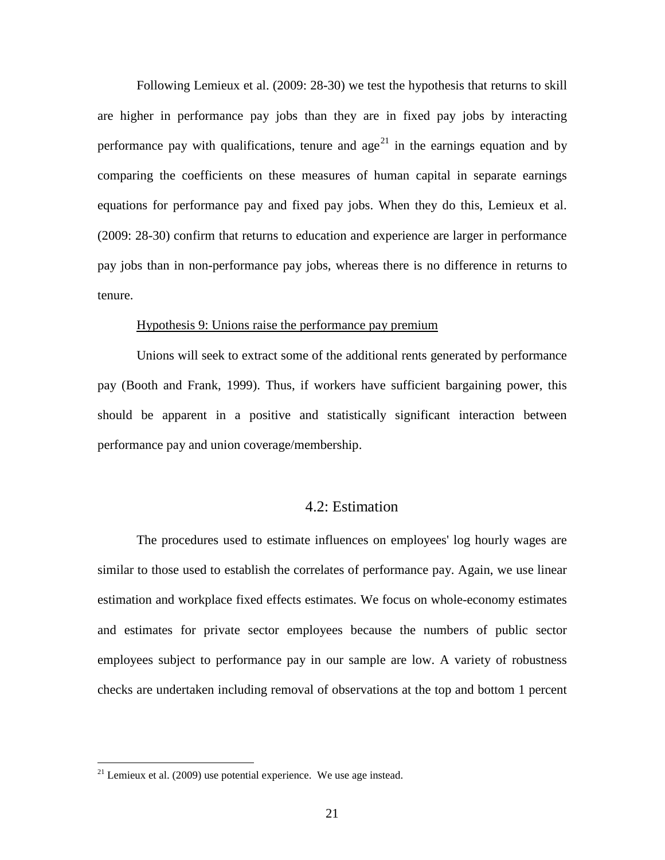Following Lemieux et al. (2009: 28-30) we test the hypothesis that returns to skill are higher in performance pay jobs than they are in fixed pay jobs by interacting performance pay with qualifications, tenure and age<sup>[21](#page-21-0)</sup> in the earnings equation and by comparing the coefficients on these measures of human capital in separate earnings equations for performance pay and fixed pay jobs. When they do this, Lemieux et al. (2009: 28-30) confirm that returns to education and experience are larger in performance pay jobs than in non-performance pay jobs, whereas there is no difference in returns to tenure.

#### Hypothesis 9: Unions raise the performance pay premium

Unions will seek to extract some of the additional rents generated by performance pay (Booth and Frank, 1999). Thus, if workers have sufficient bargaining power, this should be apparent in a positive and statistically significant interaction between performance pay and union coverage/membership.

### 4.2: Estimation

The procedures used to estimate influences on employees' log hourly wages are similar to those used to establish the correlates of performance pay. Again, we use linear estimation and workplace fixed effects estimates. We focus on whole-economy estimates and estimates for private sector employees because the numbers of public sector employees subject to performance pay in our sample are low. A variety of robustness checks are undertaken including removal of observations at the top and bottom 1 percent

<span id="page-22-0"></span> $21$  Lemieux et al. (2009) use potential experience. We use age instead.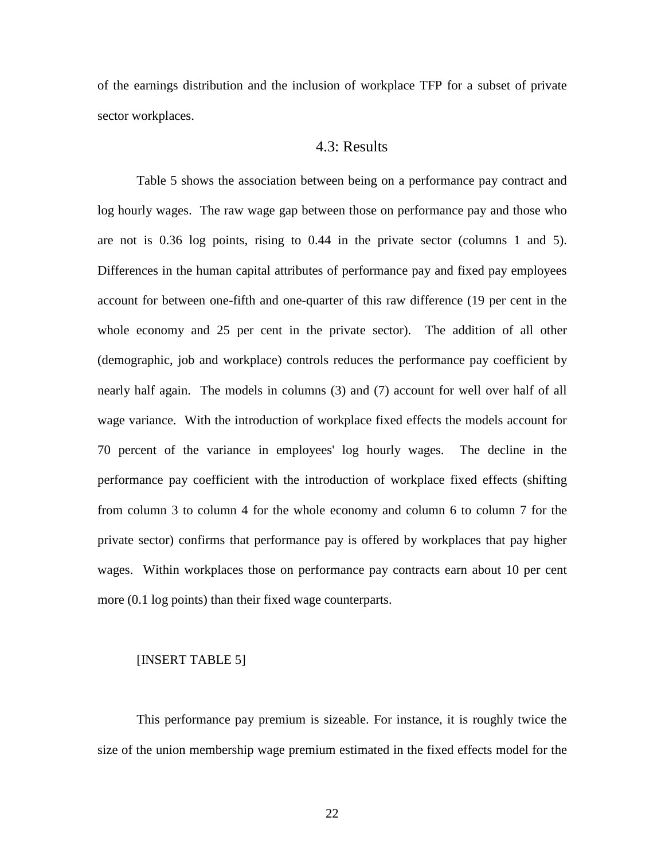of the earnings distribution and the inclusion of workplace TFP for a subset of private sector workplaces.

### 4.3: Results

Table 5 shows the association between being on a performance pay contract and log hourly wages. The raw wage gap between those on performance pay and those who are not is 0.36 log points, rising to 0.44 in the private sector (columns 1 and 5). Differences in the human capital attributes of performance pay and fixed pay employees account for between one-fifth and one-quarter of this raw difference (19 per cent in the whole economy and 25 per cent in the private sector). The addition of all other (demographic, job and workplace) controls reduces the performance pay coefficient by nearly half again. The models in columns (3) and (7) account for well over half of all wage variance. With the introduction of workplace fixed effects the models account for 70 percent of the variance in employees' log hourly wages. The decline in the performance pay coefficient with the introduction of workplace fixed effects (shifting from column 3 to column 4 for the whole economy and column 6 to column 7 for the private sector) confirms that performance pay is offered by workplaces that pay higher wages. Within workplaces those on performance pay contracts earn about 10 per cent more (0.1 log points) than their fixed wage counterparts.

#### [INSERT TABLE 5]

This performance pay premium is sizeable. For instance, it is roughly twice the size of the union membership wage premium estimated in the fixed effects model for the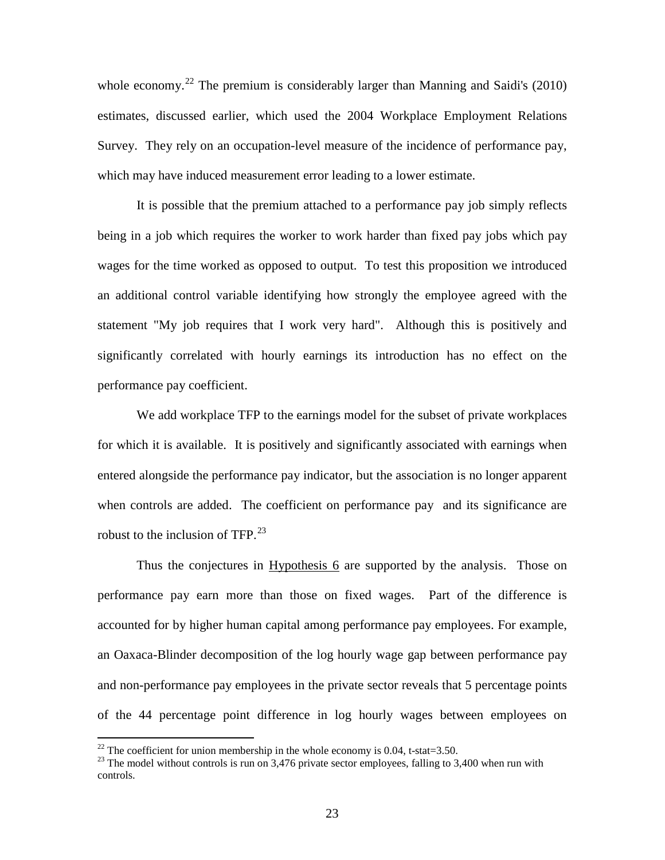whole economy.<sup>[22](#page-22-0)</sup> The premium is considerably larger than Manning and Saidi's (2010) estimates, discussed earlier, which used the 2004 Workplace Employment Relations Survey. They rely on an occupation-level measure of the incidence of performance pay, which may have induced measurement error leading to a lower estimate.

It is possible that the premium attached to a performance pay job simply reflects being in a job which requires the worker to work harder than fixed pay jobs which pay wages for the time worked as opposed to output. To test this proposition we introduced an additional control variable identifying how strongly the employee agreed with the statement "My job requires that I work very hard". Although this is positively and significantly correlated with hourly earnings its introduction has no effect on the performance pay coefficient.

We add workplace TFP to the earnings model for the subset of private workplaces for which it is available. It is positively and significantly associated with earnings when entered alongside the performance pay indicator, but the association is no longer apparent when controls are added. The coefficient on performance pay and its significance are robust to the inclusion of TFP.<sup>[23](#page-24-0)</sup>

Thus the conjectures in Hypothesis 6 are supported by the analysis. Those on performance pay earn more than those on fixed wages. Part of the difference is accounted for by higher human capital among performance pay employees. For example, an Oaxaca-Blinder decomposition of the log hourly wage gap between performance pay and non-performance pay employees in the private sector reveals that 5 percentage points of the 44 percentage point difference in log hourly wages between employees on

<span id="page-24-0"></span><sup>&</sup>lt;sup>22</sup> The coefficient for union membership in the whole economy is 0.04, t-stat=3.50.<br><sup>23</sup> The model without controls is run on 3,476 private sector employees, falling to 3,400 when run with controls.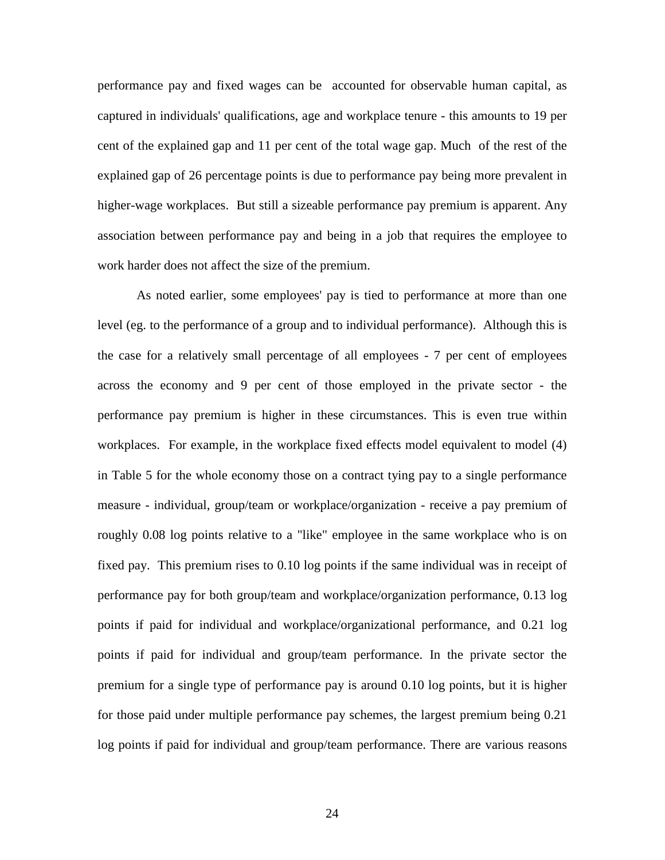performance pay and fixed wages can be accounted for observable human capital, as captured in individuals' qualifications, age and workplace tenure - this amounts to 19 per cent of the explained gap and 11 per cent of the total wage gap. Much of the rest of the explained gap of 26 percentage points is due to performance pay being more prevalent in higher-wage workplaces. But still a sizeable performance pay premium is apparent. Any association between performance pay and being in a job that requires the employee to work harder does not affect the size of the premium.

As noted earlier, some employees' pay is tied to performance at more than one level (eg. to the performance of a group and to individual performance). Although this is the case for a relatively small percentage of all employees - 7 per cent of employees across the economy and 9 per cent of those employed in the private sector - the performance pay premium is higher in these circumstances. This is even true within workplaces. For example, in the workplace fixed effects model equivalent to model (4) in Table 5 for the whole economy those on a contract tying pay to a single performance measure - individual, group/team or workplace/organization - receive a pay premium of roughly 0.08 log points relative to a "like" employee in the same workplace who is on fixed pay. This premium rises to 0.10 log points if the same individual was in receipt of performance pay for both group/team and workplace/organization performance, 0.13 log points if paid for individual and workplace/organizational performance, and 0.21 log points if paid for individual and group/team performance. In the private sector the premium for a single type of performance pay is around 0.10 log points, but it is higher for those paid under multiple performance pay schemes, the largest premium being 0.21 log points if paid for individual and group/team performance. There are various reasons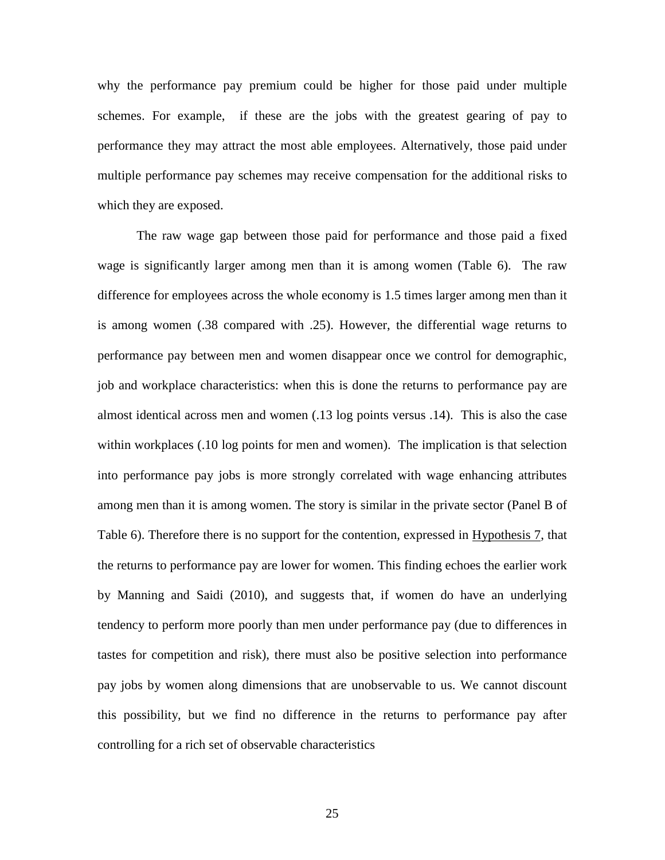why the performance pay premium could be higher for those paid under multiple schemes. For example, if these are the jobs with the greatest gearing of pay to performance they may attract the most able employees. Alternatively, those paid under multiple performance pay schemes may receive compensation for the additional risks to which they are exposed.

The raw wage gap between those paid for performance and those paid a fixed wage is significantly larger among men than it is among women (Table 6). The raw difference for employees across the whole economy is 1.5 times larger among men than it is among women (.38 compared with .25). However, the differential wage returns to performance pay between men and women disappear once we control for demographic, job and workplace characteristics: when this is done the returns to performance pay are almost identical across men and women (.13 log points versus .14). This is also the case within workplaces (.10 log points for men and women). The implication is that selection into performance pay jobs is more strongly correlated with wage enhancing attributes among men than it is among women. The story is similar in the private sector (Panel B of Table 6). Therefore there is no support for the contention, expressed in Hypothesis 7, that the returns to performance pay are lower for women. This finding echoes the earlier work by Manning and Saidi (2010), and suggests that, if women do have an underlying tendency to perform more poorly than men under performance pay (due to differences in tastes for competition and risk), there must also be positive selection into performance pay jobs by women along dimensions that are unobservable to us. We cannot discount this possibility, but we find no difference in the returns to performance pay after controlling for a rich set of observable characteristics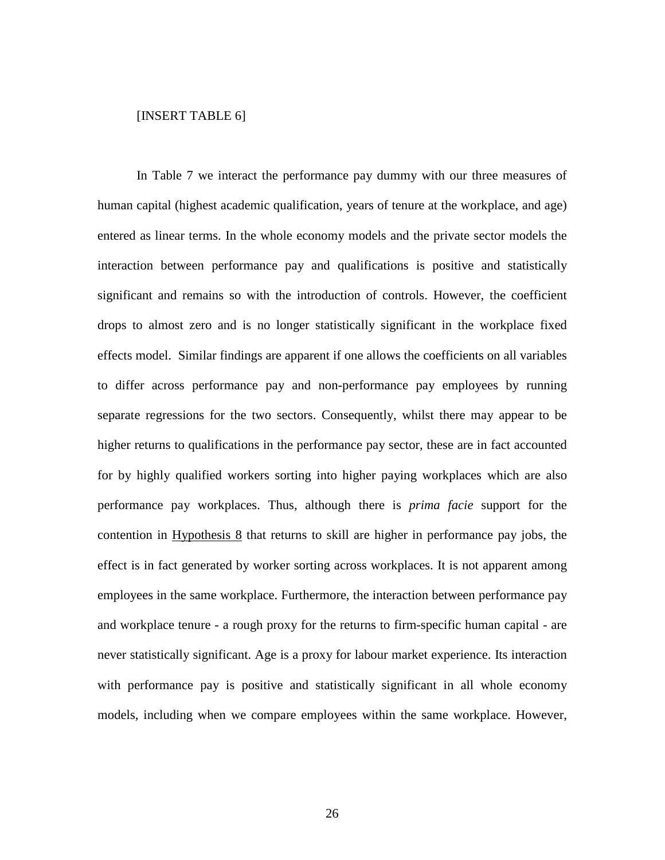### [INSERT TABLE 6]

In Table 7 we interact the performance pay dummy with our three measures of human capital (highest academic qualification, years of tenure at the workplace, and age) entered as linear terms. In the whole economy models and the private sector models the interaction between performance pay and qualifications is positive and statistically significant and remains so with the introduction of controls. However, the coefficient drops to almost zero and is no longer statistically significant in the workplace fixed effects model. Similar findings are apparent if one allows the coefficients on all variables to differ across performance pay and non-performance pay employees by running separate regressions for the two sectors. Consequently, whilst there may appear to be higher returns to qualifications in the performance pay sector, these are in fact accounted for by highly qualified workers sorting into higher paying workplaces which are also performance pay workplaces. Thus, although there is *prima facie* support for the contention in Hypothesis 8 that returns to skill are higher in performance pay jobs, the effect is in fact generated by worker sorting across workplaces. It is not apparent among employees in the same workplace. Furthermore, the interaction between performance pay and workplace tenure - a rough proxy for the returns to firm-specific human capital - are never statistically significant. Age is a proxy for labour market experience. Its interaction with performance pay is positive and statistically significant in all whole economy models, including when we compare employees within the same workplace. However,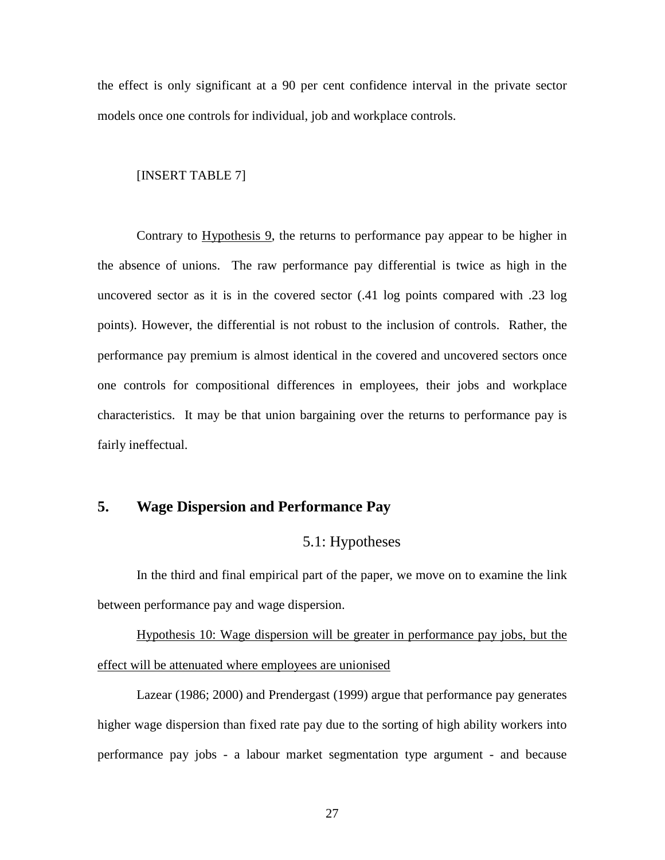the effect is only significant at a 90 per cent confidence interval in the private sector models once one controls for individual, job and workplace controls.

### [INSERT TABLE 7]

Contrary to Hypothesis 9, the returns to performance pay appear to be higher in the absence of unions. The raw performance pay differential is twice as high in the uncovered sector as it is in the covered sector (.41 log points compared with .23 log points). However, the differential is not robust to the inclusion of controls. Rather, the performance pay premium is almost identical in the covered and uncovered sectors once one controls for compositional differences in employees, their jobs and workplace characteristics. It may be that union bargaining over the returns to performance pay is fairly ineffectual.

### **5. Wage Dispersion and Performance Pay**

### 5.1: Hypotheses

In the third and final empirical part of the paper, we move on to examine the link between performance pay and wage dispersion.

Hypothesis 10: Wage dispersion will be greater in performance pay jobs, but the effect will be attenuated where employees are unionised

Lazear (1986; 2000) and Prendergast (1999) argue that performance pay generates higher wage dispersion than fixed rate pay due to the sorting of high ability workers into performance pay jobs - a labour market segmentation type argument - and because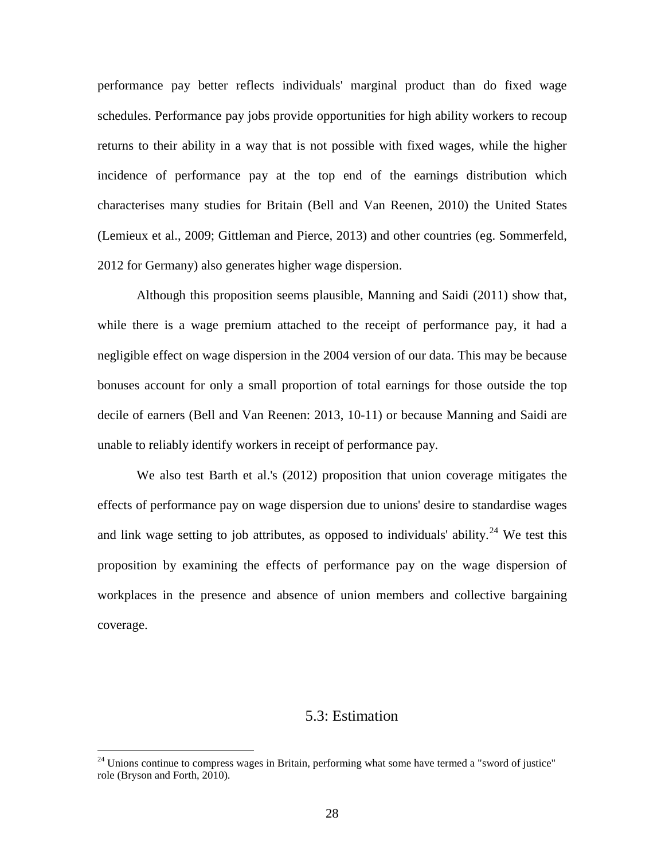performance pay better reflects individuals' marginal product than do fixed wage schedules. Performance pay jobs provide opportunities for high ability workers to recoup returns to their ability in a way that is not possible with fixed wages, while the higher incidence of performance pay at the top end of the earnings distribution which characterises many studies for Britain (Bell and Van Reenen, 2010) the United States (Lemieux et al., 2009; Gittleman and Pierce, 2013) and other countries (eg. Sommerfeld, 2012 for Germany) also generates higher wage dispersion.

Although this proposition seems plausible, Manning and Saidi (2011) show that, while there is a wage premium attached to the receipt of performance pay, it had a negligible effect on wage dispersion in the 2004 version of our data. This may be because bonuses account for only a small proportion of total earnings for those outside the top decile of earners (Bell and Van Reenen: 2013, 10-11) or because Manning and Saidi are unable to reliably identify workers in receipt of performance pay.

We also test Barth et al.'s (2012) proposition that union coverage mitigates the effects of performance pay on wage dispersion due to unions' desire to standardise wages and link wage setting to job attributes, as opposed to individuals' ability.<sup>[24](#page-24-0)</sup> We test this proposition by examining the effects of performance pay on the wage dispersion of workplaces in the presence and absence of union members and collective bargaining coverage.

### 5.3: Estimation

<span id="page-29-0"></span><sup>&</sup>lt;sup>24</sup> Unions continue to compress wages in Britain, performing what some have termed a "sword of justice" role (Bryson and Forth, 2010).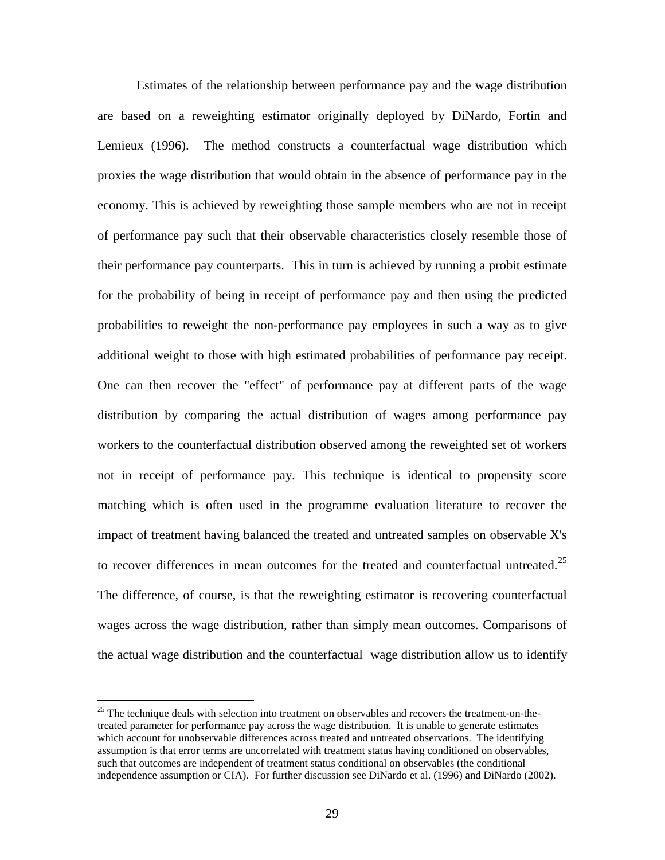Estimates of the relationship between performance pay and the wage distribution are based on a reweighting estimator originally deployed by DiNardo, Fortin and Lemieux (1996). The method constructs a counterfactual wage distribution which proxies the wage distribution that would obtain in the absence of performance pay in the economy. This is achieved by reweighting those sample members who are not in receipt of performance pay such that their observable characteristics closely resemble those of their performance pay counterparts. This in turn is achieved by running a probit estimate for the probability of being in receipt of performance pay and then using the predicted probabilities to reweight the non-performance pay employees in such a way as to give additional weight to those with high estimated probabilities of performance pay receipt. One can then recover the "effect" of performance pay at different parts of the wage distribution by comparing the actual distribution of wages among performance pay workers to the counterfactual distribution observed among the reweighted set of workers not in receipt of performance pay. This technique is identical to propensity score matching which is often used in the programme evaluation literature to recover the impact of treatment having balanced the treated and untreated samples on observable X's to recover differences in mean outcomes for the treated and counterfactual untreated.<sup>[25](#page-29-0)</sup> The difference, of course, is that the reweighting estimator is recovering counterfactual wages across the wage distribution, rather than simply mean outcomes. Comparisons of the actual wage distribution and the counterfactual wage distribution allow us to identify

<span id="page-30-0"></span><sup>&</sup>lt;sup>25</sup> The technique deals with selection into treatment on observables and recovers the treatment-on-thetreated parameter for performance pay across the wage distribution. It is unable to generate estimates which account for unobservable differences across treated and untreated observations. The identifying assumption is that error terms are uncorrelated with treatment status having conditioned on observables, such that outcomes are independent of treatment status conditional on observables (the conditional independence assumption or CIA). For further discussion see DiNardo et al. (1996) and DiNardo (2002).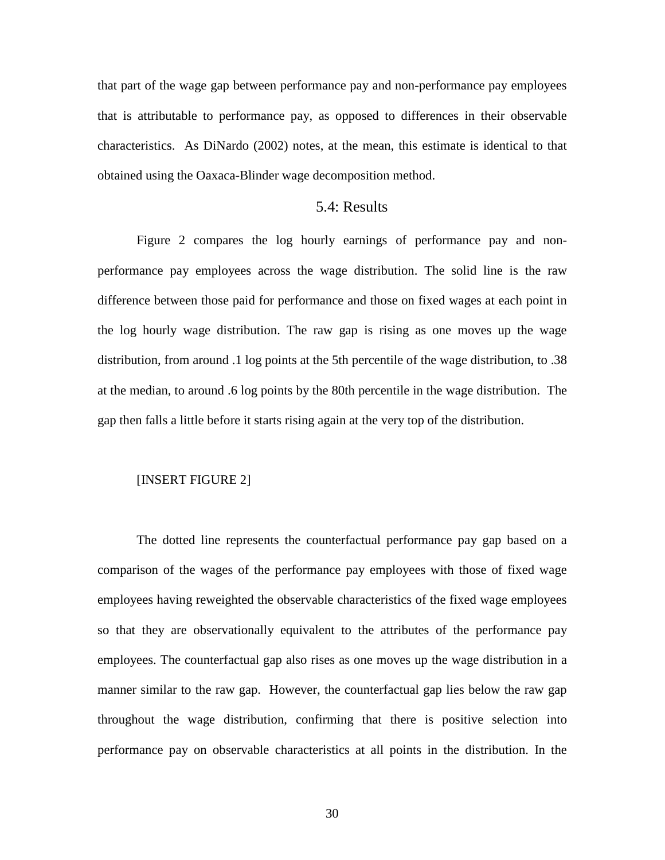that part of the wage gap between performance pay and non-performance pay employees that is attributable to performance pay, as opposed to differences in their observable characteristics. As DiNardo (2002) notes, at the mean, this estimate is identical to that obtained using the Oaxaca-Blinder wage decomposition method.

### 5.4: Results

Figure 2 compares the log hourly earnings of performance pay and nonperformance pay employees across the wage distribution. The solid line is the raw difference between those paid for performance and those on fixed wages at each point in the log hourly wage distribution. The raw gap is rising as one moves up the wage distribution, from around .1 log points at the 5th percentile of the wage distribution, to .38 at the median, to around .6 log points by the 80th percentile in the wage distribution. The gap then falls a little before it starts rising again at the very top of the distribution.

### [INSERT FIGURE 2]

The dotted line represents the counterfactual performance pay gap based on a comparison of the wages of the performance pay employees with those of fixed wage employees having reweighted the observable characteristics of the fixed wage employees so that they are observationally equivalent to the attributes of the performance pay employees. The counterfactual gap also rises as one moves up the wage distribution in a manner similar to the raw gap. However, the counterfactual gap lies below the raw gap throughout the wage distribution, confirming that there is positive selection into performance pay on observable characteristics at all points in the distribution. In the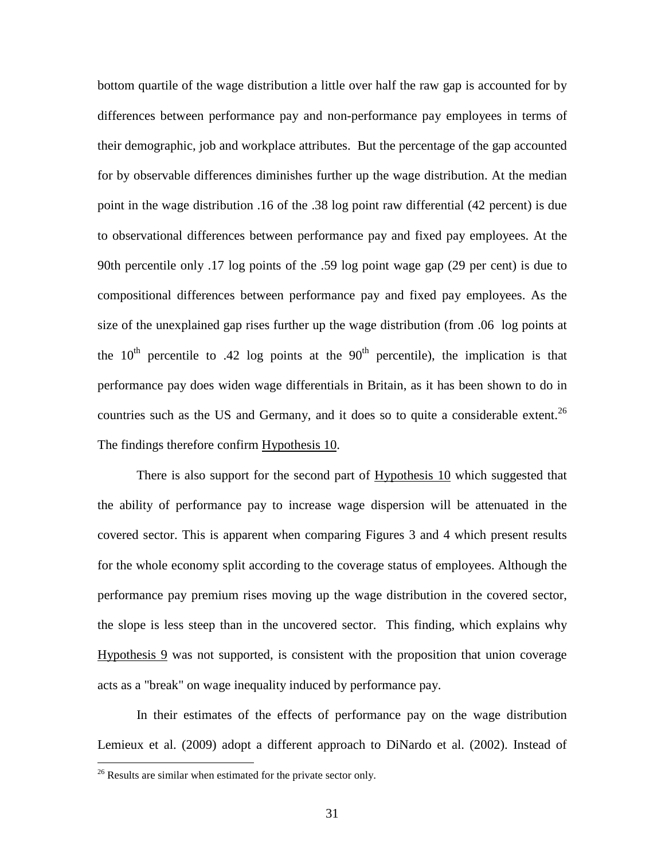bottom quartile of the wage distribution a little over half the raw gap is accounted for by differences between performance pay and non-performance pay employees in terms of their demographic, job and workplace attributes. But the percentage of the gap accounted for by observable differences diminishes further up the wage distribution. At the median point in the wage distribution .16 of the .38 log point raw differential (42 percent) is due to observational differences between performance pay and fixed pay employees. At the 90th percentile only .17 log points of the .59 log point wage gap (29 per cent) is due to compositional differences between performance pay and fixed pay employees. As the size of the unexplained gap rises further up the wage distribution (from .06 log points at the  $10<sup>th</sup>$  percentile to .42 log points at the  $90<sup>th</sup>$  percentile), the implication is that performance pay does widen wage differentials in Britain, as it has been shown to do in countries such as the US and Germany, and it does so to quite a considerable extent.<sup>[26](#page-30-0)</sup> The findings therefore confirm Hypothesis 10.

There is also support for the second part of Hypothesis 10 which suggested that the ability of performance pay to increase wage dispersion will be attenuated in the covered sector. This is apparent when comparing Figures 3 and 4 which present results for the whole economy split according to the coverage status of employees. Although the performance pay premium rises moving up the wage distribution in the covered sector, the slope is less steep than in the uncovered sector. This finding, which explains why Hypothesis 9 was not supported, is consistent with the proposition that union coverage acts as a "break" on wage inequality induced by performance pay.

In their estimates of the effects of performance pay on the wage distribution Lemieux et al. (2009) adopt a different approach to DiNardo et al. (2002). Instead of

<sup>&</sup>lt;sup>26</sup> Results are similar when estimated for the private sector only.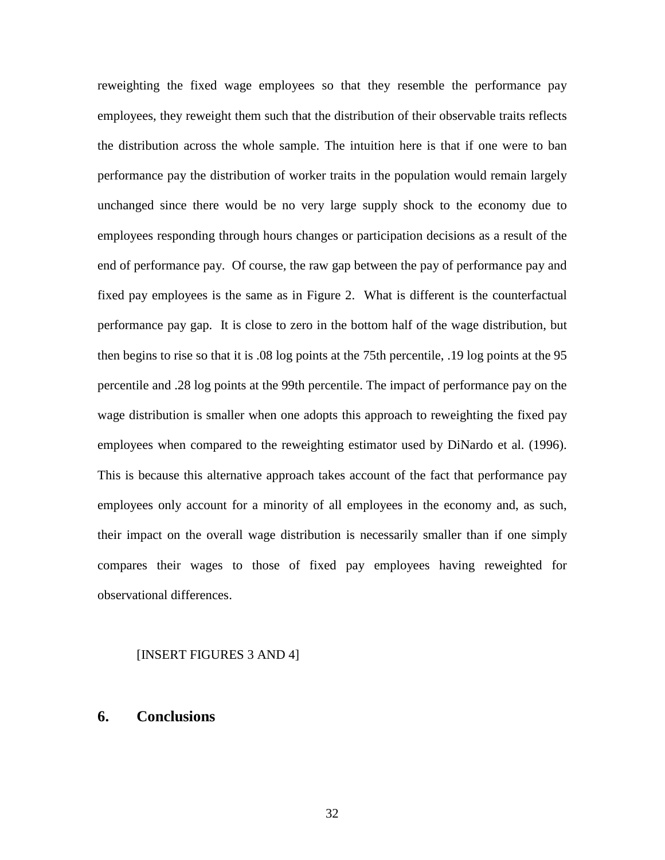reweighting the fixed wage employees so that they resemble the performance pay employees, they reweight them such that the distribution of their observable traits reflects the distribution across the whole sample. The intuition here is that if one were to ban performance pay the distribution of worker traits in the population would remain largely unchanged since there would be no very large supply shock to the economy due to employees responding through hours changes or participation decisions as a result of the end of performance pay. Of course, the raw gap between the pay of performance pay and fixed pay employees is the same as in Figure 2. What is different is the counterfactual performance pay gap. It is close to zero in the bottom half of the wage distribution, but then begins to rise so that it is .08 log points at the 75th percentile, .19 log points at the 95 percentile and .28 log points at the 99th percentile. The impact of performance pay on the wage distribution is smaller when one adopts this approach to reweighting the fixed pay employees when compared to the reweighting estimator used by DiNardo et al. (1996). This is because this alternative approach takes account of the fact that performance pay employees only account for a minority of all employees in the economy and, as such, their impact on the overall wage distribution is necessarily smaller than if one simply compares their wages to those of fixed pay employees having reweighted for observational differences.

### [INSERT FIGURES 3 AND 4]

### **6. Conclusions**

32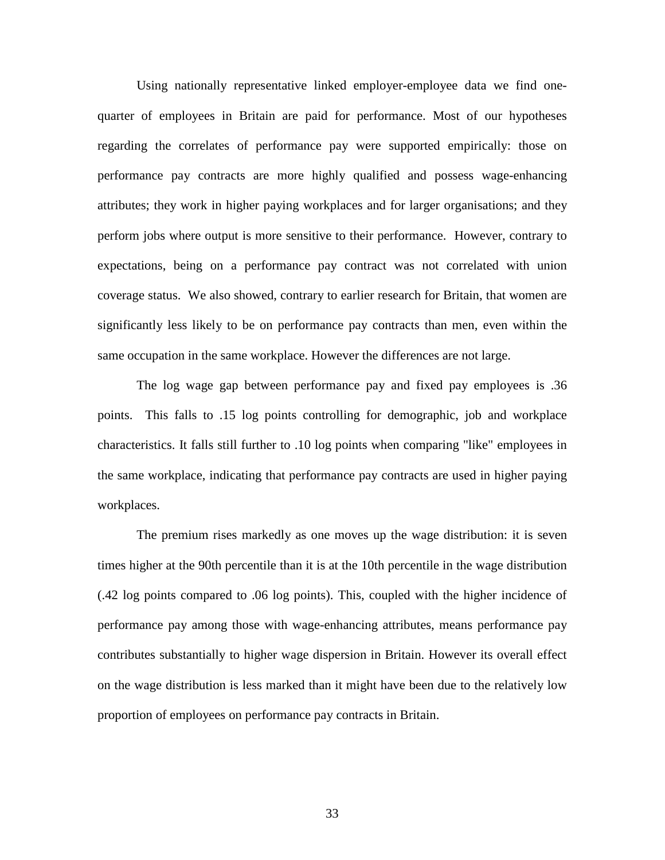Using nationally representative linked employer-employee data we find onequarter of employees in Britain are paid for performance. Most of our hypotheses regarding the correlates of performance pay were supported empirically: those on performance pay contracts are more highly qualified and possess wage-enhancing attributes; they work in higher paying workplaces and for larger organisations; and they perform jobs where output is more sensitive to their performance. However, contrary to expectations, being on a performance pay contract was not correlated with union coverage status. We also showed, contrary to earlier research for Britain, that women are significantly less likely to be on performance pay contracts than men, even within the same occupation in the same workplace. However the differences are not large.

The log wage gap between performance pay and fixed pay employees is .36 points. This falls to .15 log points controlling for demographic, job and workplace characteristics. It falls still further to .10 log points when comparing "like" employees in the same workplace, indicating that performance pay contracts are used in higher paying workplaces.

The premium rises markedly as one moves up the wage distribution: it is seven times higher at the 90th percentile than it is at the 10th percentile in the wage distribution (.42 log points compared to .06 log points). This, coupled with the higher incidence of performance pay among those with wage-enhancing attributes, means performance pay contributes substantially to higher wage dispersion in Britain. However its overall effect on the wage distribution is less marked than it might have been due to the relatively low proportion of employees on performance pay contracts in Britain.

33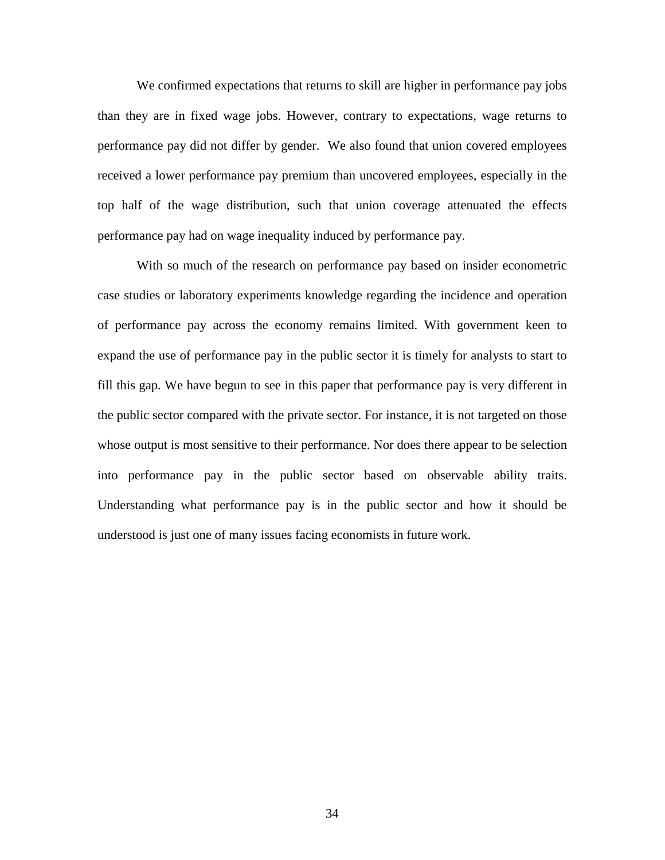We confirmed expectations that returns to skill are higher in performance pay jobs than they are in fixed wage jobs. However, contrary to expectations, wage returns to performance pay did not differ by gender. We also found that union covered employees received a lower performance pay premium than uncovered employees, especially in the top half of the wage distribution, such that union coverage attenuated the effects performance pay had on wage inequality induced by performance pay.

With so much of the research on performance pay based on insider econometric case studies or laboratory experiments knowledge regarding the incidence and operation of performance pay across the economy remains limited. With government keen to expand the use of performance pay in the public sector it is timely for analysts to start to fill this gap. We have begun to see in this paper that performance pay is very different in the public sector compared with the private sector. For instance, it is not targeted on those whose output is most sensitive to their performance. Nor does there appear to be selection into performance pay in the public sector based on observable ability traits. Understanding what performance pay is in the public sector and how it should be understood is just one of many issues facing economists in future work.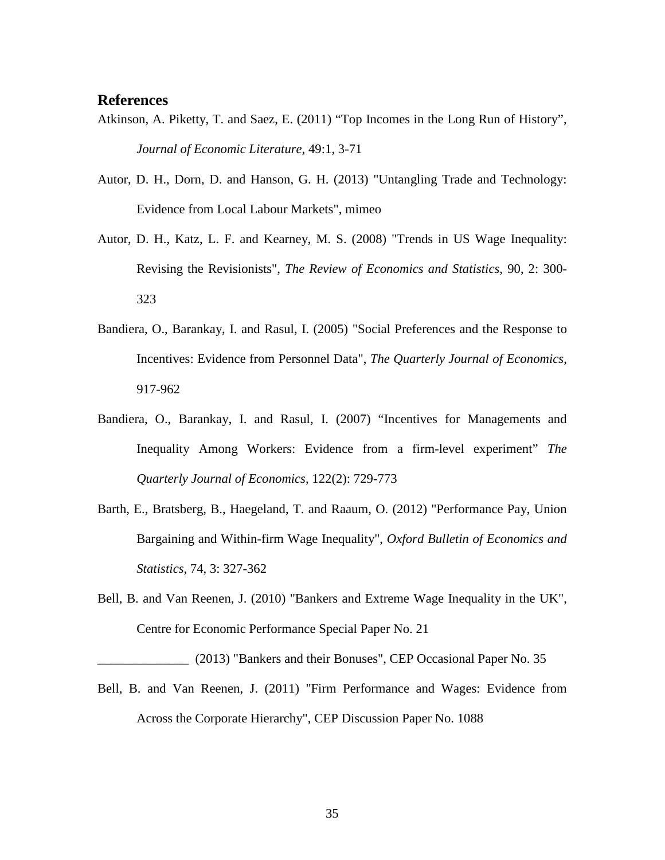### **References**

- Atkinson, A. Piketty, T. and Saez, E. (2011) "Top Incomes in the Long Run of History", *Journal of Economic Literature,* 49:1, 3-71
- Autor, D. H., Dorn, D. and Hanson, G. H. (2013) "Untangling Trade and Technology: Evidence from Local Labour Markets", mimeo
- Autor, D. H., Katz, L. F. and Kearney, M. S. (2008) "Trends in US Wage Inequality: Revising the Revisionists", *The Review of Economics and Statistics*, 90, 2: 300- 323
- Bandiera, O., Barankay, I. and Rasul, I. (2005) "Social Preferences and the Response to Incentives: Evidence from Personnel Data", *The Quarterly Journal of Economics*, 917-962
- Bandiera, O., Barankay, I. and Rasul, I. (2007) "Incentives for Managements and Inequality Among Workers: Evidence from a firm-level experiment" *The Quarterly Journal of Economics*, 122(2): 729-773
- Barth, E., Bratsberg, B., Haegeland, T. and Raaum, O. (2012) "Performance Pay, Union Bargaining and Within-firm Wage Inequality", *Oxford Bulletin of Economics and Statistics*, 74, 3: 327-362
- Bell, B. and Van Reenen, J. (2010) "Bankers and Extreme Wage Inequality in the UK", Centre for Economic Performance Special Paper No. 21

\_\_\_\_\_\_\_\_\_\_\_\_\_\_ (2013) "Bankers and their Bonuses", CEP Occasional Paper No. 35

Bell, B. and Van Reenen, J. (2011) "Firm Performance and Wages: Evidence from Across the Corporate Hierarchy", CEP Discussion Paper No. 1088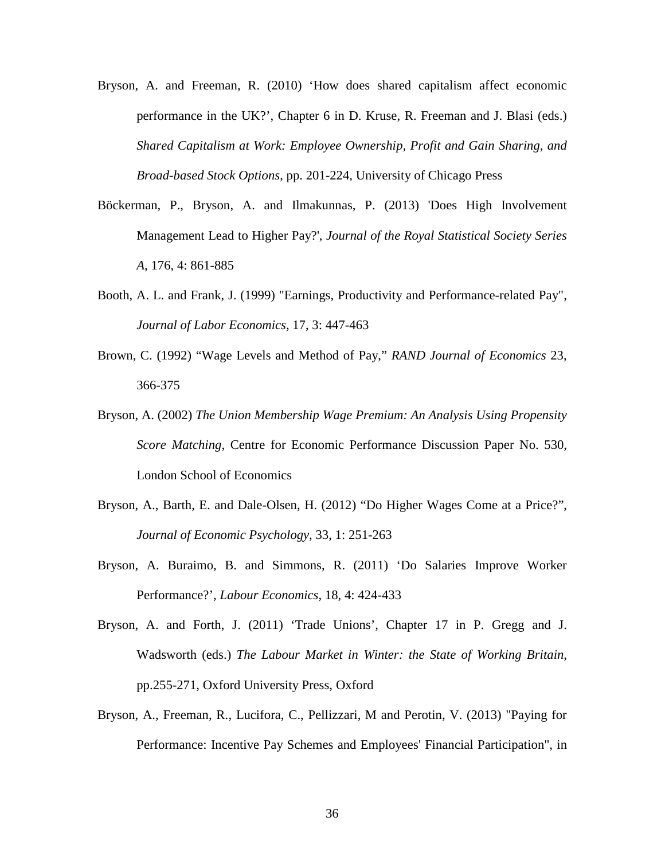- Bryson, A. and Freeman, R. (2010) 'How does shared capitalism affect economic performance in the UK?', Chapter 6 in D. Kruse, R. Freeman and J. Blasi (eds.) *Shared Capitalism at Work: Employee Ownership, Profit and Gain Sharing, and Broad-based Stock Options*, pp. 201-224, University of Chicago Press
- Böckerman, P., Bryson, A. and Ilmakunnas, P. (2013) 'Does High Involvement Management Lead to Higher Pay?', *Journal of the Royal Statistical Society Series A*, 176, 4: 861-885
- Booth, A. L. and Frank, J. (1999) "Earnings, Productivity and Performance-related Pay", *Journal of Labor Economics*, 17, 3: 447-463
- Brown, C. (1992) "Wage Levels and Method of Pay," *RAND Journal of Economics* 23, 366-375
- Bryson, A. (2002) *The Union Membership Wage Premium: An Analysis Using Propensity Score Matching*, Centre for Economic Performance Discussion Paper No. 530, London School of Economics
- Bryson, A., Barth, E. and Dale-Olsen, H. (2012) "Do Higher Wages Come at a Price?", *Journal of Economic Psychology*, 33, 1: 251-263
- Bryson, A. Buraimo, B. and Simmons, R. (2011) 'Do Salaries Improve Worker Performance?', *Labour Economics*, 18, 4: 424-433
- Bryson, A. and Forth, J. (2011) 'Trade Unions', Chapter 17 in P. Gregg and J. Wadsworth (eds.) *The Labour Market in Winter: the State of Working Britain*, pp.255-271, Oxford University Press, Oxford
- Bryson, A., Freeman, R., Lucifora, C., Pellizzari, M and Perotin, V. (2013) "Paying for Performance: Incentive Pay Schemes and Employees' Financial Participation", in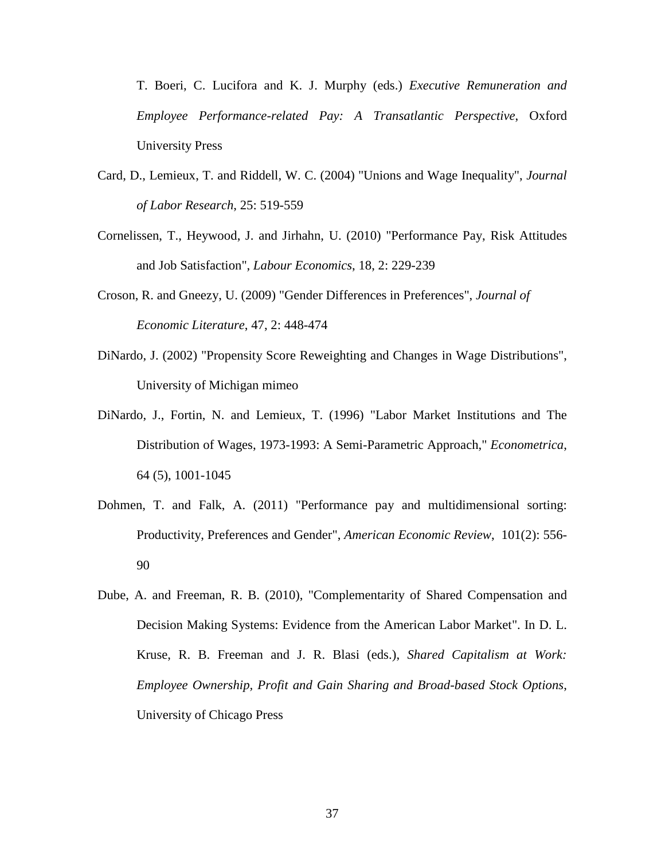T. Boeri, C. Lucifora and K. J. Murphy (eds.) *Executive Remuneration and Employee Performance-related Pay: A Transatlantic Perspective*, Oxford University Press

- Card, D., Lemieux, T. and Riddell, W. C. (2004) "Unions and Wage Inequality", *Journal of Labor Research*, 25: 519-559
- Cornelissen, T., Heywood, J. and Jirhahn, U. (2010) "Performance Pay, Risk Attitudes and Job Satisfaction", *Labour Economics*, 18, 2: 229-239
- Croson, R. and Gneezy, U. (2009) "Gender Differences in Preferences", *Journal of Economic Literature*, 47, 2: 448-474
- DiNardo, J. (2002) "Propensity Score Reweighting and Changes in Wage Distributions", University of Michigan mimeo
- DiNardo, J., Fortin, N. and Lemieux, T. (1996) "Labor Market Institutions and The Distribution of Wages, 1973-1993: A Semi-Parametric Approach," *Econometrica*, 64 (5), 1001-1045
- Dohmen, T. and Falk, A. (2011) "Performance pay and multidimensional sorting: Productivity, Preferences and Gender", *American Economic Review*, 101(2): 556- 90
- Dube, A. and Freeman, R. B. (2010), "Complementarity of Shared Compensation and Decision Making Systems: Evidence from the American Labor Market". In D. L. Kruse, R. B. Freeman and J. R. Blasi (eds.), *Shared Capitalism at Work: Employee Ownership, Profit and Gain Sharing and Broad-based Stock Options*, University of Chicago Press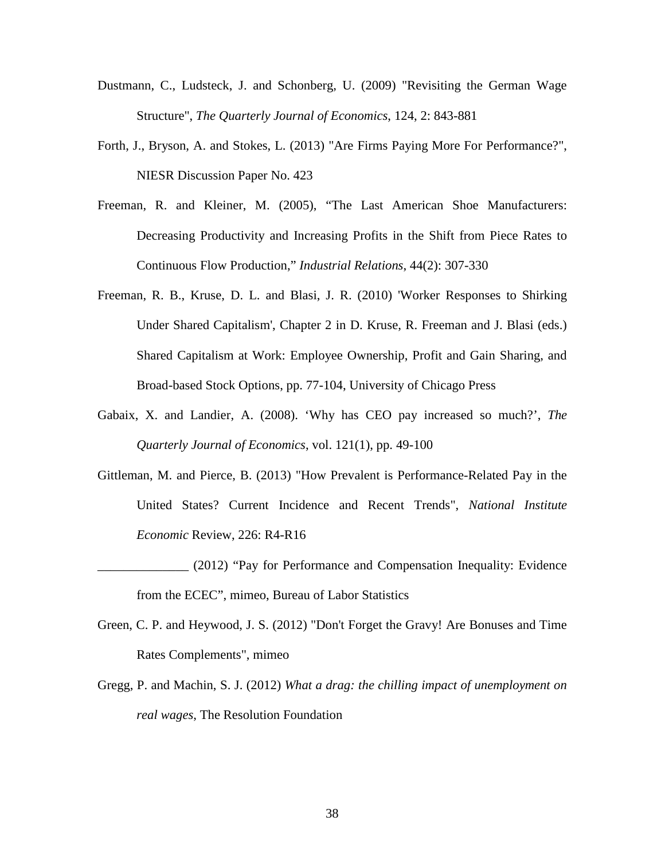- Dustmann, C., Ludsteck, J. and Schonberg, U. (2009) "Revisiting the German Wage Structure", *The Quarterly Journal of Economics*, 124, 2: 843-881
- Forth, J., Bryson, A. and Stokes, L. (2013) "Are Firms Paying More For Performance?", NIESR Discussion Paper No. 423
- Freeman, R. and Kleiner, M. (2005), "The Last American Shoe Manufacturers: Decreasing Productivity and Increasing Profits in the Shift from Piece Rates to Continuous Flow Production," *Industrial Relations*, 44(2): 307-330
- Freeman, R. B., Kruse, D. L. and Blasi, J. R. (2010) 'Worker Responses to Shirking Under Shared Capitalism', Chapter 2 in D. Kruse, R. Freeman and J. Blasi (eds.) Shared Capitalism at Work: Employee Ownership, Profit and Gain Sharing, and Broad-based Stock Options, pp. 77-104, University of Chicago Press
- Gabaix, X. and Landier, A. (2008). 'Why has CEO pay increased so much?', *The Quarterly Journal of Economics*, vol. 121(1), pp. 49-100
- Gittleman, M. and Pierce, B. (2013) "How Prevalent is Performance-Related Pay in the United States? Current Incidence and Recent Trends", *National Institute Economic* Review, 226: R4-R16
- \_\_\_\_\_\_\_\_\_\_\_\_\_\_ (2012) "Pay for Performance and Compensation Inequality: Evidence from the ECEC", mimeo, Bureau of Labor Statistics
- Green, C. P. and Heywood, J. S. (2012) "Don't Forget the Gravy! Are Bonuses and Time Rates Complements", mimeo
- Gregg, P. and Machin, S. J. (2012) *What a drag: the chilling impact of unemployment on real wages*, The Resolution Foundation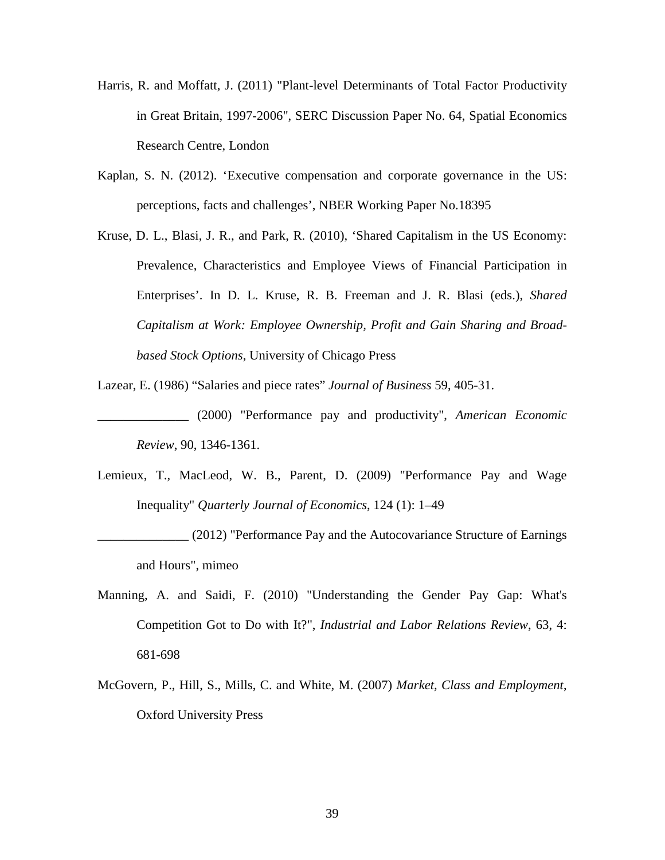- Harris, R. and Moffatt, J. (2011) "Plant-level Determinants of Total Factor Productivity in Great Britain, 1997-2006", SERC Discussion Paper No. 64, Spatial Economics Research Centre, London
- Kaplan, S. N. (2012). 'Executive compensation and corporate governance in the US: perceptions, facts and challenges', NBER Working Paper No.18395
- Kruse, D. L., Blasi, J. R., and Park, R. (2010), 'Shared Capitalism in the US Economy: Prevalence, Characteristics and Employee Views of Financial Participation in Enterprises'. In D. L. Kruse, R. B. Freeman and J. R. Blasi (eds.), *Shared Capitalism at Work: Employee Ownership, Profit and Gain Sharing and Broadbased Stock Options*, University of Chicago Press
- Lazear, E. (1986) "Salaries and piece rates" *Journal of Business* 59, 405-31.
- \_\_\_\_\_\_\_\_\_\_\_\_\_\_ (2000) "Performance pay and productivity", *American Economic Review*, 90, 1346-1361.
- Lemieux, T., MacLeod, W. B., Parent, D. (2009) "Performance Pay and Wage Inequality" *Quarterly Journal of Economics*, 124 (1): 1–49
- \_\_\_\_\_\_\_\_\_\_\_\_\_\_ (2012) "Performance Pay and the Autocovariance Structure of Earnings and Hours", mimeo
- Manning, A. and Saidi, F. (2010) "Understanding the Gender Pay Gap: What's Competition Got to Do with It?", *Industrial and Labor Relations Review*, 63, 4: 681-698
- McGovern, P., Hill, S., Mills, C. and White, M. (2007) *Market, Class and Employment*, Oxford University Press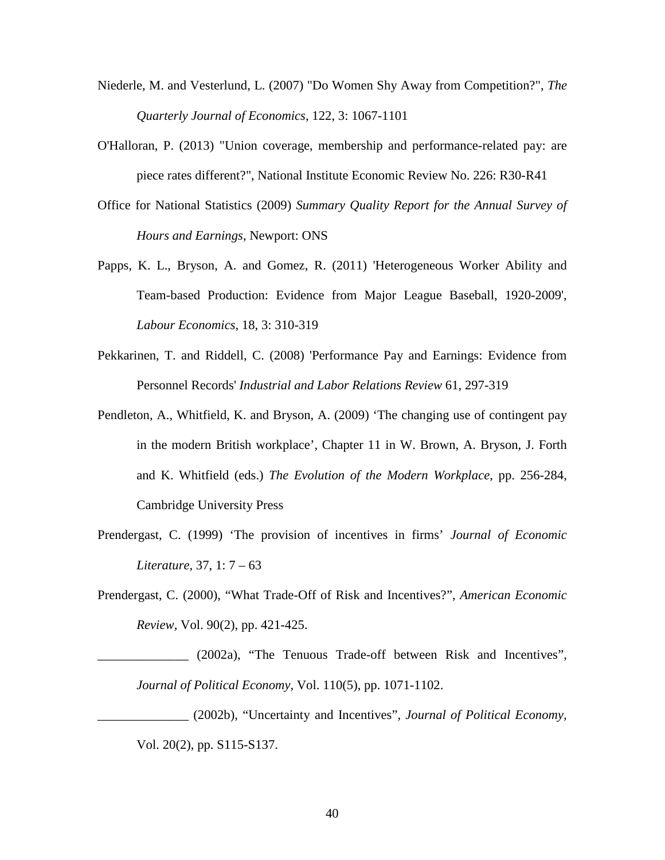- Niederle, M. and Vesterlund, L. (2007) "Do Women Shy Away from Competition?", *The Quarterly Journal of Economics*, 122, 3: 1067-1101
- O'Halloran, P. (2013) "Union coverage, membership and performance-related pay: are piece rates different?", National Institute Economic Review No. 226: R30-R41
- Office for National Statistics (2009) *Summary Quality Report for the Annual Survey of Hours and Earnings*, Newport: ONS
- Papps, K. L., Bryson, A. and Gomez, R. (2011) 'Heterogeneous Worker Ability and Team-based Production: Evidence from Major League Baseball, 1920-2009', *Labour Economics*, 18, 3: 310-319
- Pekkarinen, T. and Riddell, C. (2008) 'Performance Pay and Earnings: Evidence from Personnel Records' *Industrial and Labor Relations Review* 61, 297-319
- Pendleton, A., Whitfield, K. and Bryson, A. (2009) 'The changing use of contingent pay in the modern British workplace', Chapter 11 in W. Brown, A. Bryson, J. Forth and K. Whitfield (eds.) *The Evolution of the Modern Workplace*, pp. 256-284, Cambridge University Press
- Prendergast, C. (1999) 'The provision of incentives in firms' *Journal of Economic Literature*, 37, 1: 7 – 63
- Prendergast, C. (2000), "What Trade-Off of Risk and Incentives?", *American Economic Review,* Vol. 90(2), pp. 421-425.

\_\_\_\_\_\_\_\_\_\_\_\_\_\_ (2002a), "The Tenuous Trade-off between Risk and Incentives", *Journal of Political Economy,* Vol. 110(5), pp. 1071-1102.

\_\_\_\_\_\_\_\_\_\_\_\_\_\_ (2002b), "Uncertainty and Incentives", *Journal of Political Economy,*  Vol. 20(2), pp. S115-S137.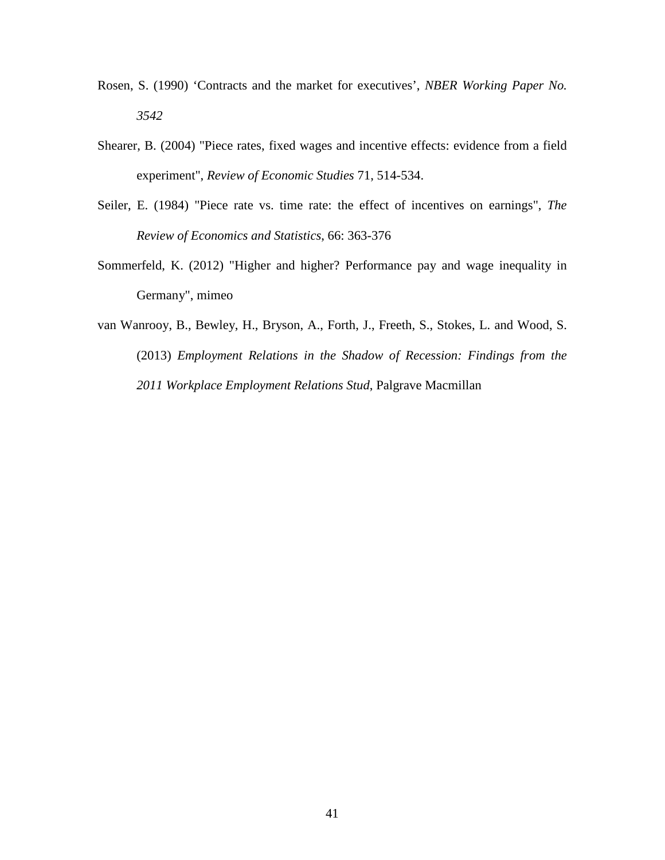- Rosen, S. (1990) 'Contracts and the market for executives', *NBER Working Paper No. 3542*
- Shearer, B. (2004) "Piece rates, fixed wages and incentive effects: evidence from a field experiment", *Review of Economic Studies* 71, 514-534.
- Seiler, E. (1984) "Piece rate vs. time rate: the effect of incentives on earnings", *The Review of Economics and Statistics*, 66: 363-376
- Sommerfeld, K. (2012) "Higher and higher? Performance pay and wage inequality in Germany", mimeo
- van Wanrooy, B., Bewley, H., Bryson, A., Forth, J., Freeth, S., Stokes, L. and Wood, S. (2013) *Employment Relations in the Shadow of Recession: Findings from the 2011 Workplace Employment Relations Stud*, Palgrave Macmillan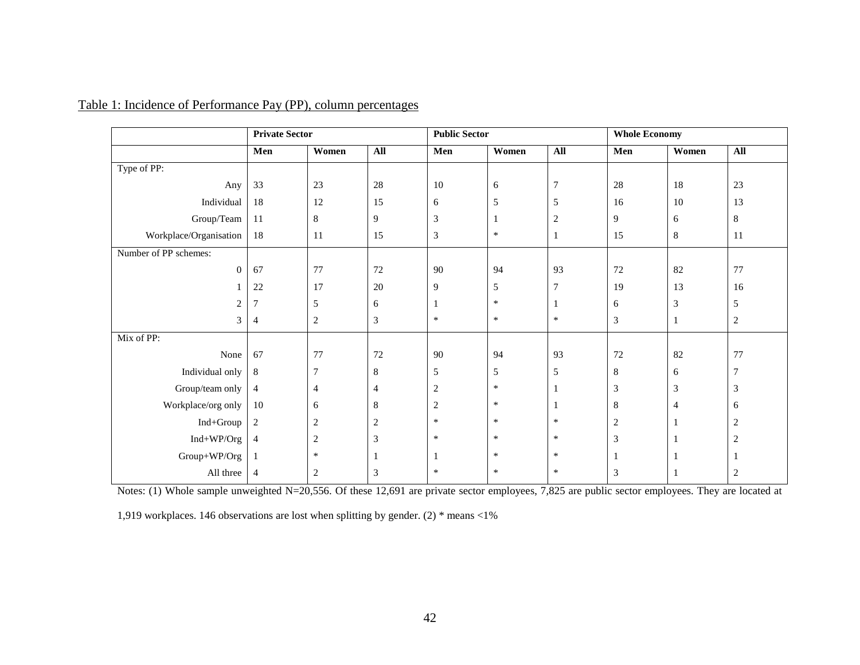|                        | <b>Private Sector</b> |                  |                | <b>Public Sector</b> |        |                | <b>Whole Economy</b> |              |                |
|------------------------|-----------------------|------------------|----------------|----------------------|--------|----------------|----------------------|--------------|----------------|
|                        | Men                   | Women            | All            | Men                  | Women  | $\mathbf{All}$ | Men                  | Women        | All            |
| Type of PP:            |                       |                  |                |                      |        |                |                      |              |                |
| Any                    | 33                    | 23               | 28             | 10                   | 6      | $\overline{7}$ | 28                   | 18           | 23             |
| Individual             | 18                    | 12               | 15             | 6                    | 5      | 5              | 16                   | 10           | 13             |
| Group/Team             | 11                    | 8                | 9              | $\mathfrak{Z}$       | 1      | $\overline{2}$ | 9                    | 6            | $\,8\,$        |
| Workplace/Organisation | 18                    | 11               | 15             | $\mathfrak{Z}$       | $\ast$ | 1              | 15                   | 8            | 11             |
| Number of PP schemes:  |                       |                  |                |                      |        |                |                      |              |                |
| $\boldsymbol{0}$       | 67                    | 77               | 72             | 90                   | 94     | 93             | $72\,$               | 82           | 77             |
|                        | 22                    | 17               | $20\,$         | 9                    | 5      | $\tau$         | 19                   | 13           | 16             |
| $\mathbf{2}$           | $\overline{7}$        | 5                | 6              | 1                    | $\ast$ | 1              | 6                    | 3            | 5              |
| 3                      | $\overline{4}$        | $\boldsymbol{2}$ | 3              | $\ast$               | $\ast$ | $\ast$         | $\mathfrak{Z}$       | 1            | $\sqrt{2}$     |
| Mix of PP:             |                       |                  |                |                      |        |                |                      |              |                |
| None                   | 67                    | 77               | 72             | 90                   | 94     | 93             | 72                   | 82           | 77             |
| Individual only        | 8                     | 7                | 8              | 5                    | 5      | 5              | 8                    | 6            | $\overline{7}$ |
| Group/team only        | $\overline{4}$        | $\overline{4}$   | 4              | $\overline{c}$       | $\ast$ | -1             | 3                    | 3            | $\mathfrak{Z}$ |
| Workplace/org only     | $10\,$                | 6                | 8              | $\sqrt{2}$           | $\ast$ | 1              | 8                    | 4            | 6              |
| Ind+Group              | $\overline{2}$        | $\overline{2}$   | $\overline{c}$ | $\ast$               | $\ast$ | $\ast$         | $\sqrt{2}$           | -1           | $\sqrt{2}$     |
| Ind+WP/Org             | 4                     | $\overline{c}$   | 3              | $\ast$               | $\ast$ | $\ast$         | 3                    |              | $\overline{2}$ |
| Group+WP/Org           | 1                     | $\ast$           | -1             |                      | $\ast$ | $\ast$         | 1                    |              | $\mathbf{1}$   |
| All three              | $\overline{4}$        | 2                | 3              | $\ast$               | $\ast$ | $\ast$         | 3                    | $\mathbf{1}$ | $\overline{2}$ |

### Table 1: Incidence of Performance Pay (PP), column percentages

Notes: (1) Whole sample unweighted N=20,556. Of these 12,691 are private sector employees, 7,825 are public sector employees. They are located at

1,919 workplaces. 146 observations are lost when splitting by gender. (2) \* means <1%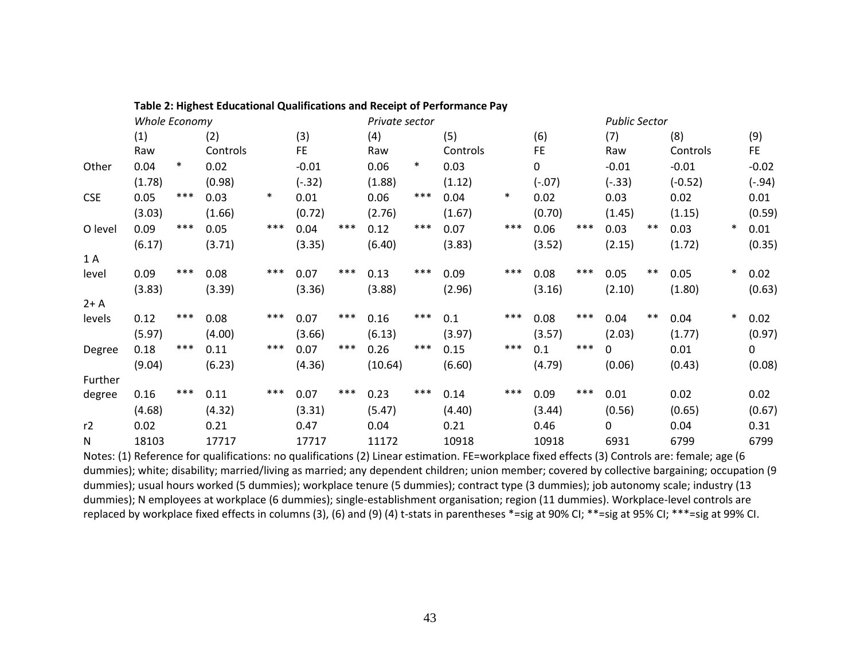|            |               |        | Table 2: Highest Educational Qualifications and Receipt of Performance Pay |        |           |       |                |        |          |        |           |       |          |                      |           |        |          |  |  |
|------------|---------------|--------|----------------------------------------------------------------------------|--------|-----------|-------|----------------|--------|----------|--------|-----------|-------|----------|----------------------|-----------|--------|----------|--|--|
|            | Whole Economy |        |                                                                            |        |           |       | Private sector |        |          |        |           |       |          | <b>Public Sector</b> |           |        |          |  |  |
|            | (1)           |        | (2)                                                                        |        | (3)       |       | (4)            |        | (5)      |        | (6)       |       | (7)      |                      | (8)       |        | (9)      |  |  |
|            | Raw           |        | Controls                                                                   |        | <b>FE</b> |       | Raw            |        | Controls |        | <b>FE</b> |       | Raw      |                      | Controls  |        | FE.      |  |  |
| Other      | 0.04          | $\ast$ | 0.02                                                                       |        | $-0.01$   |       | 0.06           | $\ast$ | 0.03     |        | 0         |       | $-0.01$  |                      | $-0.01$   |        | $-0.02$  |  |  |
|            | (1.78)        |        | (0.98)                                                                     |        | $(-.32)$  |       | (1.88)         |        | (1.12)   |        | $(-.07)$  |       | $(-.33)$ |                      | $(-0.52)$ |        | $(-.94)$ |  |  |
| <b>CSE</b> | 0.05          | ***    | 0.03                                                                       | $\ast$ | 0.01      |       | 0.06           | $***$  | 0.04     | $\ast$ | 0.02      |       | 0.03     |                      | 0.02      |        | 0.01     |  |  |
|            | (3.03)        |        | (1.66)                                                                     |        | (0.72)    |       | (2.76)         |        | (1.67)   |        | (0.70)    |       | (1.45)   |                      | (1.15)    |        | (0.59)   |  |  |
| O level    | 0.09          | ***    | 0.05                                                                       | ***    | 0.04      | ***   | 0.12           | $***$  | 0.07     | ***    | 0.06      | ***   | 0.03     | $***$                | 0.03      | $\ast$ | 0.01     |  |  |
|            | (6.17)        |        | (3.71)                                                                     |        | (3.35)    |       | (6.40)         |        | (3.83)   |        | (3.52)    |       | (2.15)   |                      | (1.72)    |        | (0.35)   |  |  |
| 1 A        |               |        |                                                                            |        |           |       |                |        |          |        |           |       |          |                      |           |        |          |  |  |
| level      | 0.09          | ***    | 0.08                                                                       | ***    | 0.07      | ***   | 0.13           | ***    | 0.09     | $***$  | 0.08      | ***   | 0.05     | $***$                | 0.05      | $\ast$ | 0.02     |  |  |
|            | (3.83)        |        | (3.39)                                                                     |        | (3.36)    |       | (3.88)         |        | (2.96)   |        | (3.16)    |       | (2.10)   |                      | (1.80)    |        | (0.63)   |  |  |
| $2+A$      |               |        |                                                                            |        |           |       |                |        |          |        |           |       |          |                      |           |        |          |  |  |
| levels     | 0.12          | ***    | 0.08                                                                       | ***    | 0.07      | ***   | 0.16           | ***    | 0.1      | ***    | 0.08      | $***$ | 0.04     | $***$                | 0.04      | $\ast$ | 0.02     |  |  |
|            | (5.97)        |        | (4.00)                                                                     |        | (3.66)    |       | (6.13)         |        | (3.97)   |        | (3.57)    |       | (2.03)   |                      | (1.77)    |        | (0.97)   |  |  |
| Degree     | 0.18          | ***    | 0.11                                                                       | $***$  | 0.07      | $***$ | 0.26           | $***$  | 0.15     | $***$  | 0.1       | $***$ | 0        |                      | 0.01      |        | 0        |  |  |
|            | (9.04)        |        | (6.23)                                                                     |        | (4.36)    |       | (10.64)        |        | (6.60)   |        | (4.79)    |       | (0.06)   |                      | (0.43)    |        | (0.08)   |  |  |
| Further    |               |        |                                                                            |        |           |       |                |        |          | ***    |           |       |          |                      |           |        |          |  |  |
| degree     | 0.16          | $***$  | 0.11                                                                       | $***$  | 0.07      | $***$ | 0.23           | $***$  | 0.14     |        | 0.09      | $***$ | 0.01     |                      | 0.02      |        | 0.02     |  |  |
|            | (4.68)        |        | (4.32)                                                                     |        | (3.31)    |       | (5.47)         |        | (4.40)   |        | (3.44)    |       | (0.56)   |                      | (0.65)    |        | (0.67)   |  |  |
| r2         | 0.02          |        | 0.21                                                                       |        | 0.47      |       | 0.04           |        | 0.21     |        | 0.46      |       | 0        |                      | 0.04      |        | 0.31     |  |  |
| N          | 18103         |        | 17717                                                                      |        | 17717     |       | 11172          |        | 10918    |        | 10918     |       | 6931     |                      | 6799      |        | 6799     |  |  |

Notes: (1) Reference for qualifications: no qualifications (2) Linear estimation. FE=workplace fixed effects (3) Controls are: female; age (6 dummies); white; disability; married/living as married; any dependent children; union member; covered by collective bargaining; occupation (9 dummies); usual hours worked (5 dummies); workplace tenure (5 dummies); contract type (3 dummies); job autonomy scale; industry (13 dummies); N employees at workplace (6 dummies); single-establishment organisation; region (11 dummies). Workplace-level controls are replaced by workplace fixed effects in columns (3), (6) and (9) (4) t-stats in parentheses \*=sig at 90% CI; \*\*=sig at 95% CI; \*\*\*=sig at 99% CI.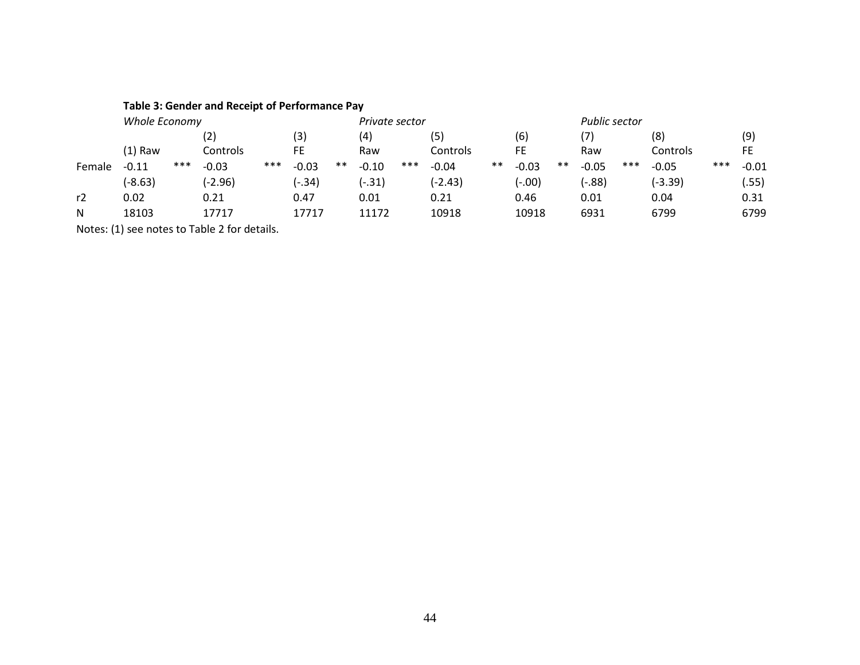|        |               |     | Table 3: Gender and Receipt of Performance Pay |     |          |       |                |     |           |       |               |       |         |     |           |     |           |
|--------|---------------|-----|------------------------------------------------|-----|----------|-------|----------------|-----|-----------|-------|---------------|-------|---------|-----|-----------|-----|-----------|
|        | Whole Economy |     |                                                |     |          |       | Private sector |     |           |       | Public sector |       |         |     |           |     |           |
|        |               |     | (2)                                            |     | (3)      |       | (4)            |     | (5)       |       | (6)           |       | (7)     |     | (8)       |     | (9)       |
|        | $(1)$ Raw     |     | Controls                                       |     | FE       |       | Raw            |     | Controls  |       | FE            |       | Raw     |     | Controls  |     | <b>FE</b> |
| Female | $-0.11$       | *** | $-0.03$                                        | *** | $-0.03$  | $***$ | $-0.10$        | *** | $-0.04$   | $***$ | $-0.03$       | $***$ | $-0.05$ | *** | $-0.05$   | *** | $-0.01$   |
|        | $(-8.63)$     |     | (-2.96)                                        |     | $(-.34)$ |       | $(-.31)$       |     | $(-2.43)$ |       | (-.00)        |       | (-.88)  |     | $(-3.39)$ |     | .55)      |
| r2     | 0.02          |     | 0.21                                           |     | 0.47     |       | 0.01           |     | 0.21      |       | 0.46          |       | 0.01    |     | 0.04      |     | 0.31      |
| N      | 18103         |     | 17717                                          |     | 17717    |       | 11172          |     | 10918     |       | 10918         |       | 6931    |     | 6799      |     | 6799      |
|        |               |     | Notes: (1) see notes to Table 2 for details.   |     |          |       |                |     |           |       |               |       |         |     |           |     |           |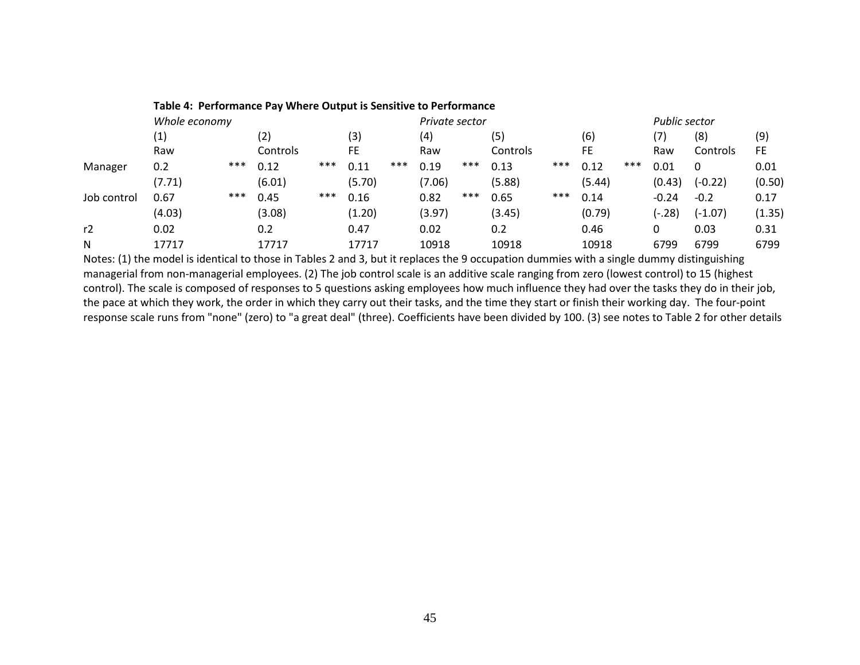|             | Table 4: Performance Pay Where Output is Sensitive to Performance |                |          |     |        |     |        |                      |          |     |        |     |         |           |        |
|-------------|-------------------------------------------------------------------|----------------|----------|-----|--------|-----|--------|----------------------|----------|-----|--------|-----|---------|-----------|--------|
|             | Whole economy                                                     | Private sector |          |     |        |     |        | <b>Public sector</b> |          |     |        |     |         |           |        |
|             | (1)                                                               |                | (2)      |     | (3)    |     | (4)    |                      | (5)      |     | (6)    |     | (7)     | (8)       | (9)    |
|             | Raw                                                               |                | Controls |     | FE     |     | Raw    |                      | Controls |     | FE     |     | Raw     | Controls  | FE     |
| Manager     | 0.2                                                               | ***            | 0.12     | *** | 0.11   | *** | 0.19   | ***                  | 0.13     | *** | 0.12   | *** | 0.01    | $\Omega$  | 0.01   |
|             | (7.71)                                                            |                | (6.01)   |     | (5.70) |     | (7.06) |                      | (5.88)   |     | (5.44) |     | (0.43)  | $(-0.22)$ | (0.50) |
| Job control | 0.67                                                              | ***            | 0.45     | *** | 0.16   |     | 0.82   | ***                  | 0.65     | *** | 0.14   |     | $-0.24$ | $-0.2$    | 0.17   |
|             | (4.03)                                                            |                | (3.08)   |     | (1.20) |     | (3.97) |                      | (3.45)   |     | (0.79) |     | (-.28)  | $(-1.07)$ | (1.35) |
| r2          | 0.02                                                              |                | 0.2      |     | 0.47   |     | 0.02   |                      | 0.2      |     | 0.46   |     | 0       | 0.03      | 0.31   |
| N           | 17717                                                             |                | 17717    |     | 17717  |     | 10918  |                      | 10918    |     | 10918  |     | 6799    | 6799      | 6799   |

Notes: (1) the model is identical to those in Tables 2 and 3, but it replaces the 9 occupation dummies with a single dummy distinguishing managerial from non-managerial employees. (2) The job control scale is an additive scale ranging from zero (lowest control) to 15 (highest control). The scale is composed of responses to 5 questions asking employees how much influence they had over the tasks they do in their job, the pace at which they work, the order in which they carry out their tasks, and the time they start or finish their working day. The four-point response scale runs from "none" (zero) to "a great deal" (three). Coefficients have been divided by 100. (3) see notes to Table 2 for other details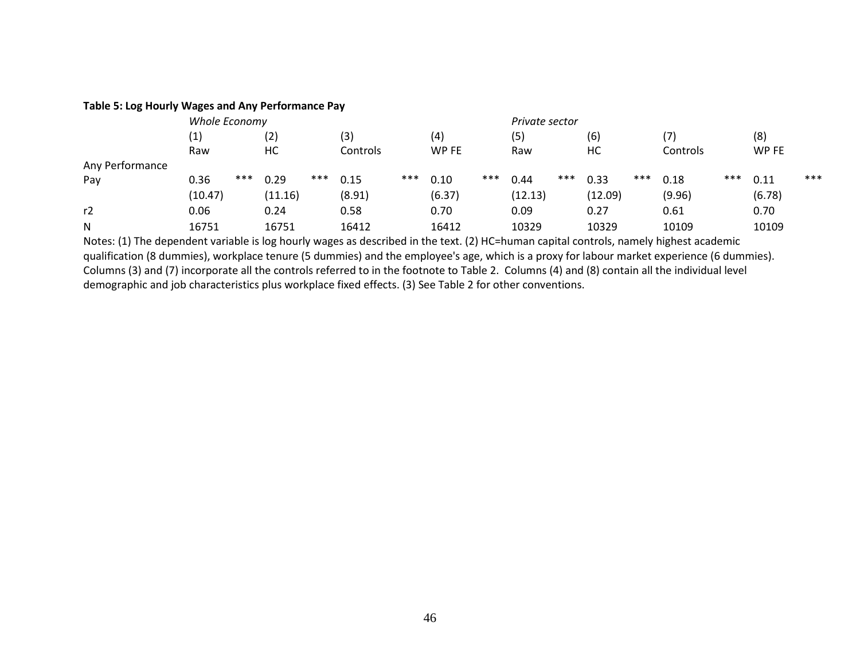#### **Table 5: Log Hourly Wages and Any Performance Pay**

|                 | Whole Economy     |     |         |     |          |     |        |     | Private sector |     |         |     |                   |     |        |     |
|-----------------|-------------------|-----|---------|-----|----------|-----|--------|-----|----------------|-----|---------|-----|-------------------|-----|--------|-----|
|                 | $\left( 1\right)$ |     | (2)     |     | (3)      |     | (4)    |     | (5)            |     | (6)     |     | $\left( 7\right)$ |     | (8)    |     |
|                 | Raw               |     | НC      |     | Controls |     | WP FE  |     | Raw            |     | HC      |     | Controls          |     | WP FE  |     |
| Any Performance |                   |     |         |     |          |     |        |     |                |     |         |     |                   |     |        |     |
| Pay             | 0.36              | *** | 0.29    | *** | 0.15     | *** | 0.10   | *** | 0.44           | *** | 0.33    | *** | 0.18              | *** | 0.11   | *** |
|                 | (10.47)           |     | (11.16) |     | (8.91)   |     | (6.37) |     | (12.13)        |     | (12.09) |     | (9.96)            |     | (6.78) |     |
| r2              | 0.06              |     | 0.24    |     | 0.58     |     | 0.70   |     | 0.09           |     | 0.27    |     | 0.61              |     | 0.70   |     |
| N               | 16751             |     | 16751   |     | 16412    |     | 16412  |     | 10329          |     | 10329   |     | 10109             |     | 10109  |     |

Notes: (1) The dependent variable is log hourly wages as described in the text. (2) HC=human capital controls, namely highest academic qualification (8 dummies), workplace tenure (5 dummies) and the employee's age, which is a proxy for labour market experience (6 dummies). Columns (3) and (7) incorporate all the controls referred to in the footnote to Table 2. Columns (4) and (8) contain all the individual level demographic and job characteristics plus workplace fixed effects. (3) See Table 2 for other conventions.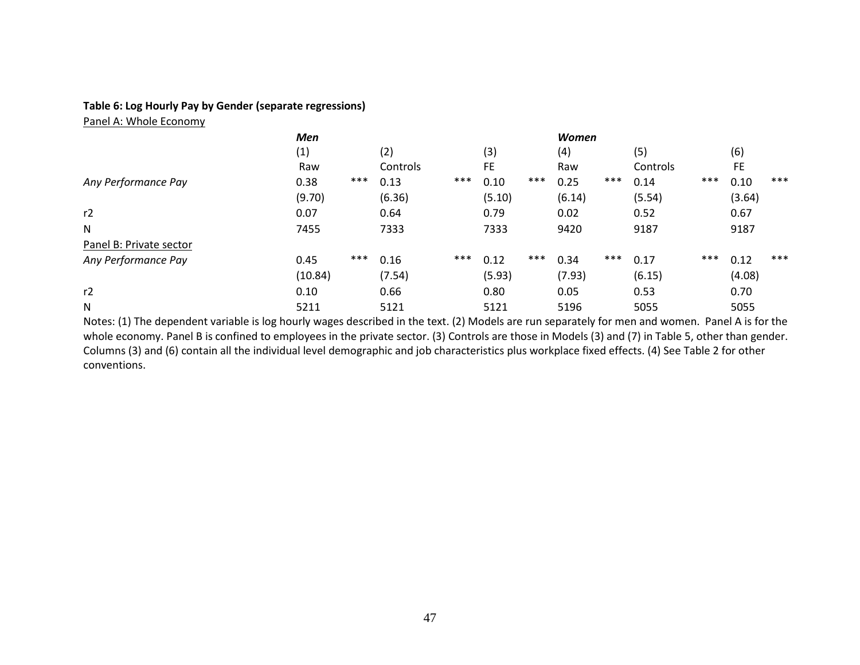### **Table 6: Log Hourly Pay by Gender (separate regressions)**

Panel A: Whole Economy

|                         | <b>Men</b> |     |          |     |        |       | <b>Women</b> |     |          |     |        |       |
|-------------------------|------------|-----|----------|-----|--------|-------|--------------|-----|----------|-----|--------|-------|
|                         | (1)        |     | (2)      |     | (3)    |       | (4)          |     | (5)      |     | (6)    |       |
|                         | Raw        |     | Controls |     | FE.    |       | Raw          |     | Controls |     | FE.    |       |
| Any Performance Pay     | 0.38       | *** | 0.13     | *** | 0.10   | $***$ | 0.25         | *** | 0.14     | *** | 0.10   | $***$ |
|                         | (9.70)     |     | (6.36)   |     | (5.10) |       | (6.14)       |     | (5.54)   |     | (3.64) |       |
| r2                      | 0.07       |     | 0.64     |     | 0.79   |       | 0.02         |     | 0.52     |     | 0.67   |       |
| $\mathsf{N}$            | 7455       |     | 7333     |     | 7333   |       | 9420         |     | 9187     |     | 9187   |       |
| Panel B: Private sector |            |     |          |     |        |       |              |     |          |     |        |       |
| Any Performance Pay     | 0.45       | *** | 0.16     | *** | 0.12   | $***$ | 0.34         | *** | 0.17     | *** | 0.12   | $***$ |
|                         | (10.84)    |     | (7.54)   |     | (5.93) |       | (7.93)       |     | (6.15)   |     | (4.08) |       |
| r2                      | 0.10       |     | 0.66     |     | 0.80   |       | 0.05         |     | 0.53     |     | 0.70   |       |
| N                       | 5211       |     | 5121     |     | 5121   |       | 5196         |     | 5055     |     | 5055   |       |

Notes: (1) The dependent variable is log hourly wages described in the text. (2) Models are run separately for men and women. Panel A is for the whole economy. Panel B is confined to employees in the private sector. (3) Controls are those in Models (3) and (7) in Table 5, other than gender. Columns (3) and (6) contain all the individual level demographic and job characteristics plus workplace fixed effects. (4) See Table 2 for other conventions.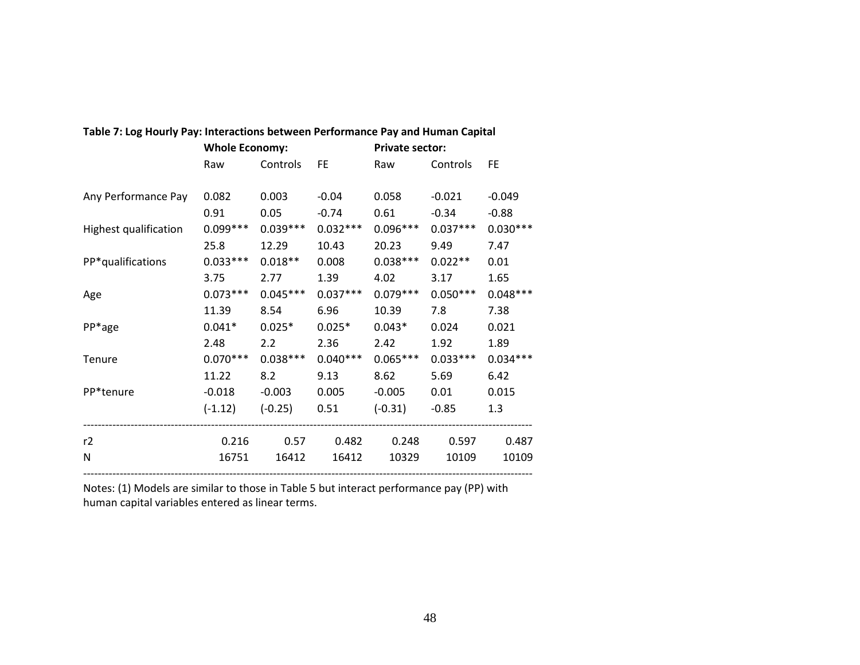|                       | <b>Whole Economy:</b> |            |            | <b>Private sector:</b> |            |            |
|-----------------------|-----------------------|------------|------------|------------------------|------------|------------|
|                       | Raw                   | Controls   | <b>FE</b>  | Raw                    | Controls   | <b>FE</b>  |
|                       |                       |            |            |                        |            |            |
| Any Performance Pay   | 0.082                 | 0.003      | $-0.04$    | 0.058                  | $-0.021$   | $-0.049$   |
|                       | 0.91                  | 0.05       | $-0.74$    | 0.61                   | $-0.34$    | $-0.88$    |
| Highest qualification | $0.099***$            | $0.039***$ | $0.032***$ | $0.096***$             | $0.037***$ | $0.030***$ |
|                       | 25.8                  | 12.29      | 10.43      | 20.23                  | 9.49       | 7.47       |
| PP*qualifications     | $0.033***$            | $0.018**$  | 0.008      | $0.038***$             | $0.022**$  | 0.01       |
|                       | 3.75                  | 2.77       | 1.39       | 4.02                   | 3.17       | 1.65       |
| Age                   | $0.073***$            | $0.045***$ | $0.037***$ | $0.079***$             | $0.050***$ | $0.048***$ |
|                       | 11.39                 | 8.54       | 6.96       | 10.39                  | 7.8        | 7.38       |
| PP*age                | $0.041*$              | $0.025*$   | $0.025*$   | $0.043*$               | 0.024      | 0.021      |
|                       | 2.48                  | 2.2        | 2.36       | 2.42                   | 1.92       | 1.89       |
| Tenure                | $0.070***$            | $0.038***$ | $0.040***$ | $0.065***$             | $0.033***$ | $0.034***$ |
|                       | 11.22                 | 8.2        | 9.13       | 8.62                   | 5.69       | 6.42       |
| PP*tenure             | $-0.018$              | $-0.003$   | 0.005      | $-0.005$               | 0.01       | 0.015      |
|                       | $(-1.12)$             | $(-0.25)$  | 0.51       | $(-0.31)$              | $-0.85$    | 1.3        |
| r2                    | 0.216                 | 0.57       | 0.482      | 0.248                  | 0.597      | 0.487      |
| N                     | 16751                 | 16412      | 16412      | 10329                  | 10109      | 10109      |

### **Table 7: Log Hourly Pay: Interactions between Performance Pay and Human Capital**

Notes: (1) Models are similar to those in Table 5 but interact performance pay (PP) with human capital variables entered as linear terms.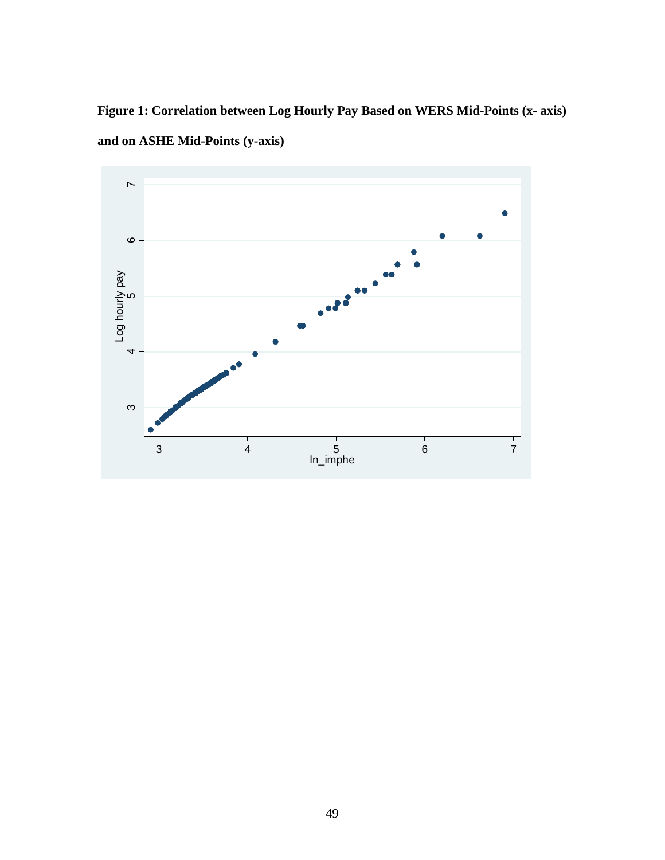**Figure 1: Correlation between Log Hourly Pay Based on WERS Mid-Points (x- axis) and on ASHE Mid-Points (y-axis)**

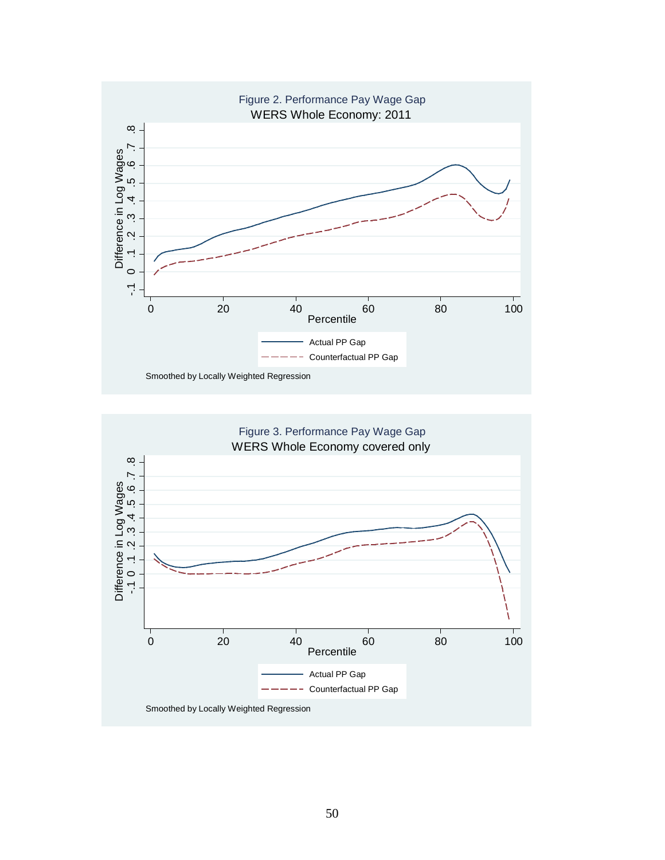